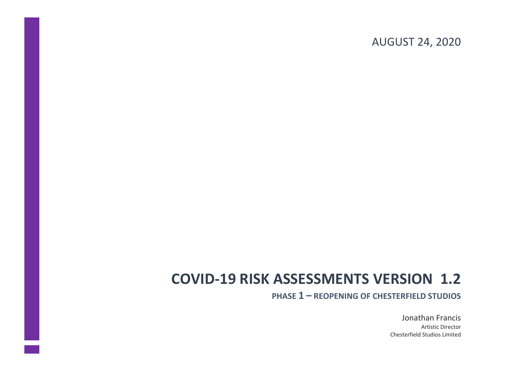### AUGUST 24, 2020

# **COVID-19 RISK ASSESSMENTS VERSION 1.2**

**PHASE 1 – REOPENING OF CHESTERFIELD STUDIOS**

Jonathan Francis Artistic Director Chesterfield Studios Limited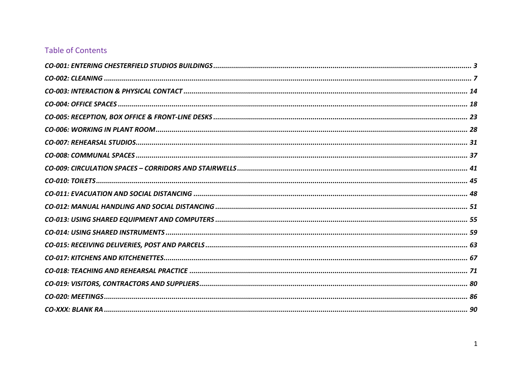### **Table of Contents**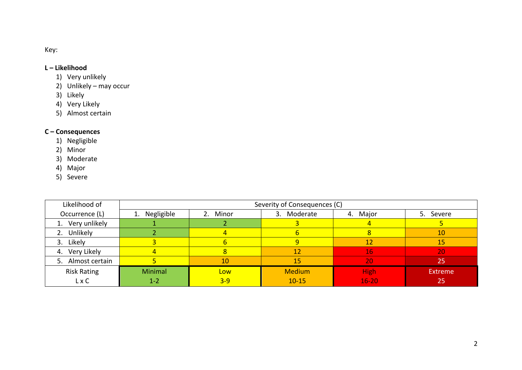Key:

#### **L – Likelihood**

- 1) Very unlikely
- 2) Unlikely may occur
- 3) Likely
- 4) Very Likely
- 5) Almost certain

#### **C – Consequences**

- 1) Negligible
- 2) Minor
- 3) Moderate
- 4) Major
- 5) Severe

| Likelihood of      |               | Severity of Consequences (C) |               |             |                |  |  |  |  |
|--------------------|---------------|------------------------------|---------------|-------------|----------------|--|--|--|--|
| Occurrence (L)     | 1. Negligible | 2. Minor                     | 3. Moderate   | 4. Major    | 5. Severe      |  |  |  |  |
| 1. Very unlikely   |               |                              |               |             |                |  |  |  |  |
| 2. Unlikely        |               |                              |               |             | 10             |  |  |  |  |
| 3. Likely          |               |                              |               | 12          | 15             |  |  |  |  |
| 4. Very Likely     | 4             |                              | 12            | 16          | 20             |  |  |  |  |
| 5. Almost certain  |               | 10                           | 15            | 20          | 25             |  |  |  |  |
| <b>Risk Rating</b> | Minimal       | Low                          | <b>Medium</b> | <b>High</b> | <b>Extreme</b> |  |  |  |  |
| $L \times C$       | $1 - 2$       | $3 - 9$                      | $10 - 15$     | $16 - 20$   | $25^{\circ}$   |  |  |  |  |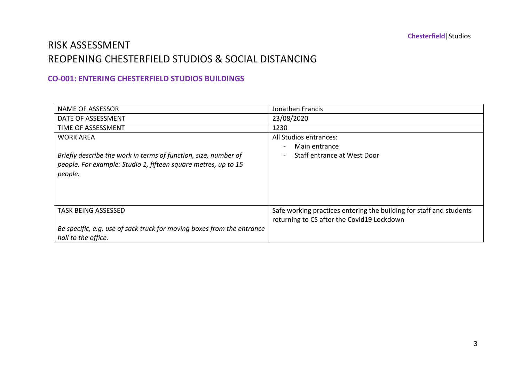### RISK ASSESSMENT REOPENING CHESTERFIELD STUDIOS & SOCIAL DISTANCING

#### **CO-001: ENTERING CHESTERFIELD STUDIOS BUILDINGS**

| <b>NAME OF ASSESSOR</b>                                                | Jonathan Francis                                                    |
|------------------------------------------------------------------------|---------------------------------------------------------------------|
| DATE OF ASSESSMENT                                                     | 23/08/2020                                                          |
| TIME OF ASSESSMENT                                                     | 1230                                                                |
| <b>WORK AREA</b>                                                       | All Studios entrances:                                              |
|                                                                        | Main entrance                                                       |
| Briefly describe the work in terms of function, size, number of        | Staff entrance at West Door                                         |
| people. For example: Studio 1, fifteen square metres, up to 15         |                                                                     |
| people.                                                                |                                                                     |
|                                                                        |                                                                     |
|                                                                        |                                                                     |
|                                                                        |                                                                     |
| <b>TASK BEING ASSESSED</b>                                             | Safe working practices entering the building for staff and students |
|                                                                        | returning to CS after the Covid19 Lockdown                          |
| Be specific, e.g. use of sack truck for moving boxes from the entrance |                                                                     |
| hall to the office.                                                    |                                                                     |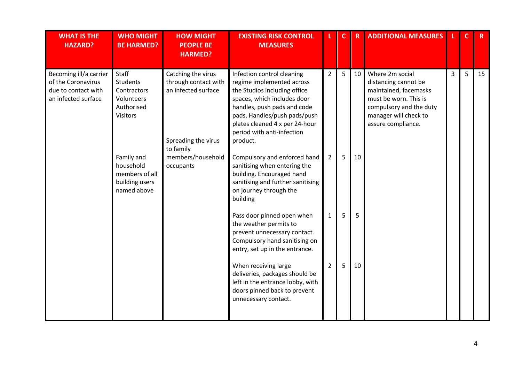| <b>WHAT IS THE</b><br><b>HAZARD?</b>                                                       | <b>WHO MIGHT</b><br><b>BE HARMED?</b>                                                  | <b>HOW MIGHT</b><br><b>PEOPLE BE</b><br><b>HARMED?</b>                                   | <b>EXISTING RISK CONTROL</b><br><b>MEASURES</b>                                                                                                                                                                                                                   |                | $\mathbf{C}$ | $\mathbf R$ | <b>ADDITIONAL MEASURES</b>                                                                                                                                          |   |   | R  |
|--------------------------------------------------------------------------------------------|----------------------------------------------------------------------------------------|------------------------------------------------------------------------------------------|-------------------------------------------------------------------------------------------------------------------------------------------------------------------------------------------------------------------------------------------------------------------|----------------|--------------|-------------|---------------------------------------------------------------------------------------------------------------------------------------------------------------------|---|---|----|
| Becoming ill/a carrier<br>of the Coronavirus<br>due to contact with<br>an infected surface | Staff<br><b>Students</b><br>Contractors<br>Volunteers<br>Authorised<br><b>Visitors</b> | Catching the virus<br>through contact with<br>an infected surface<br>Spreading the virus | Infection control cleaning<br>regime implemented across<br>the Studios including office<br>spaces, which includes door<br>handles, push pads and code<br>pads. Handles/push pads/push<br>plates cleaned 4 x per 24-hour<br>period with anti-infection<br>product. | $\overline{2}$ | 5            | 10          | Where 2m social<br>distancing cannot be<br>maintained, facemasks<br>must be worn. This is<br>compulsory and the duty<br>manager will check to<br>assure compliance. | 3 | 5 | 15 |
|                                                                                            | Family and<br>household<br>members of all<br>building users<br>named above             | to family<br>members/household<br>occupants                                              | Compulsory and enforced hand<br>sanitising when entering the<br>building. Encouraged hand<br>sanitising and further sanitising<br>on journey through the<br>building                                                                                              | $\overline{2}$ | 5            | 10          |                                                                                                                                                                     |   |   |    |
|                                                                                            |                                                                                        |                                                                                          | Pass door pinned open when<br>the weather permits to<br>prevent unnecessary contact.<br>Compulsory hand sanitising on<br>entry, set up in the entrance.                                                                                                           | 1              | 5            | 5           |                                                                                                                                                                     |   |   |    |
|                                                                                            |                                                                                        |                                                                                          | When receiving large<br>deliveries, packages should be<br>left in the entrance lobby, with<br>doors pinned back to prevent<br>unnecessary contact.                                                                                                                | $\overline{2}$ | 5            | 10          |                                                                                                                                                                     |   |   |    |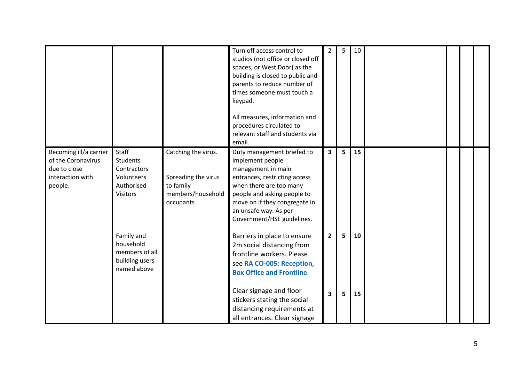|                                                                                             |                                                                                        |                                                                                           | Turn off access control to<br>studios (not office or closed off<br>spaces, or West Door) as the<br>building is closed to public and<br>parents to reduce number of<br>times someone must touch a<br>keypad.<br>All measures, information and<br>procedures circulated to<br>relevant staff and students via<br>email. | 2                       | 5              | 10 |  |  |
|---------------------------------------------------------------------------------------------|----------------------------------------------------------------------------------------|-------------------------------------------------------------------------------------------|-----------------------------------------------------------------------------------------------------------------------------------------------------------------------------------------------------------------------------------------------------------------------------------------------------------------------|-------------------------|----------------|----|--|--|
| Becoming ill/a carrier<br>of the Coronavirus<br>due to close<br>interaction with<br>people. | Staff<br><b>Students</b><br>Contractors<br>Volunteers<br>Authorised<br><b>Visitors</b> | Catching the virus.<br>Spreading the virus<br>to family<br>members/household<br>occupants | Duty management briefed to<br>implement people<br>management in main<br>entrances, restricting access<br>when there are too many<br>people and asking people to<br>move on if they congregate in<br>an unsafe way. As per<br>Government/HSE guidelines.                                                               | $\overline{\mathbf{3}}$ | 5 <sup>1</sup> | 15 |  |  |
|                                                                                             | Family and<br>household<br>members of all<br>building users<br>named above             |                                                                                           | Barriers in place to ensure<br>2m social distancing from<br>frontline workers. Please<br>see RA CO-005: Reception,<br><b>Box Office and Frontline</b>                                                                                                                                                                 | $\overline{2}$          | 5              | 10 |  |  |
|                                                                                             |                                                                                        |                                                                                           | Clear signage and floor<br>stickers stating the social<br>distancing requirements at<br>all entrances. Clear signage                                                                                                                                                                                                  | 3                       | 5              | 15 |  |  |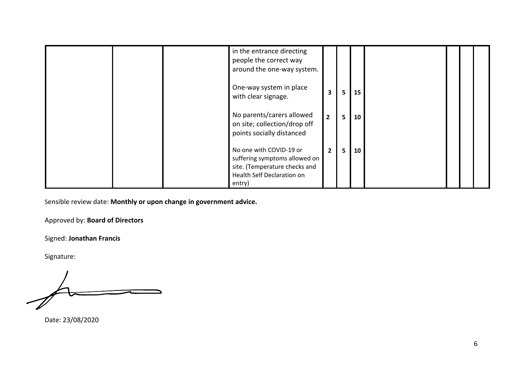|  | in the entrance directing<br>people the correct way<br>around the one-way system.                                                 |                |                 |    |  |  |
|--|-----------------------------------------------------------------------------------------------------------------------------------|----------------|-----------------|----|--|--|
|  | One-way system in place<br>with clear signage.                                                                                    | 3              | 5               | 15 |  |  |
|  | No parents/carers allowed<br>on site; collection/drop off<br>points socially distanced                                            | $\overline{2}$ | 5               | 10 |  |  |
|  | No one with COVID-19 or<br>suffering symptoms allowed on<br>site. (Temperature checks and<br>Health Self Declaration on<br>entry) | $\mathbf{2}$   | $5\overline{5}$ | 10 |  |  |

Approved by: **Board of Directors**

Signed: **Jonathan Francis**

Signature:

Date: 23/08/2020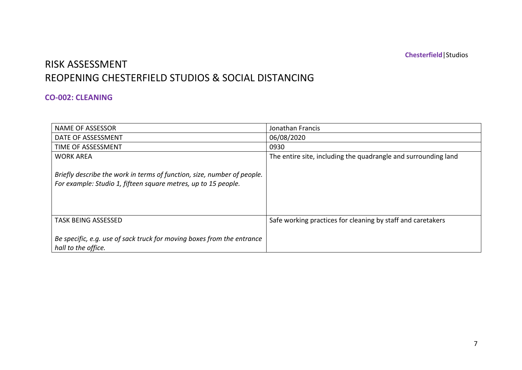## RISK ASSESSMENT THE CONTACT OF THE CONTACT  $\overline{A}$ REOPENING CHESTERFIELD STUDIOS & SOCIAL DISTANCING

#### **CO-002: CLEANING**

| <b>NAME OF ASSESSOR</b>                                                                                                                   | Jonathan Francis                                               |
|-------------------------------------------------------------------------------------------------------------------------------------------|----------------------------------------------------------------|
| DATE OF ASSESSMENT                                                                                                                        | 06/08/2020                                                     |
| TIME OF ASSESSMENT                                                                                                                        | 0930                                                           |
| <b>WORK AREA</b>                                                                                                                          | The entire site, including the quadrangle and surrounding land |
| Briefly describe the work in terms of function, size, number of people.<br>For example: Studio 1, fifteen square metres, up to 15 people. |                                                                |
| <b>TASK BEING ASSESSED</b>                                                                                                                | Safe working practices for cleaning by staff and caretakers    |
| Be specific, e.g. use of sack truck for moving boxes from the entrance<br>hall to the office.                                             |                                                                |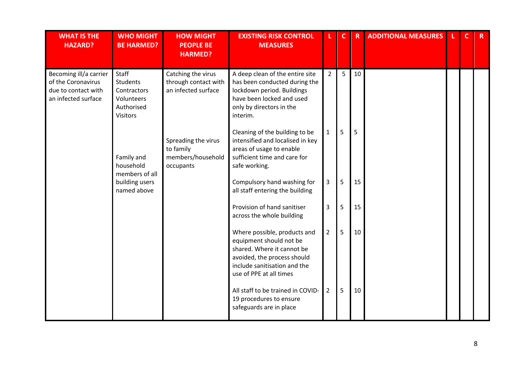| <b>WHAT IS THE</b><br><b>HAZARD?</b>                                                       | <b>WHO MIGHT</b><br><b>BE HARMED?</b>                                                  | <b>HOW MIGHT</b><br><b>PEOPLE BE</b><br><b>HARMED?</b>             | <b>EXISTING RISK CONTROL</b><br><b>MEASURES</b>                                                                                                                                 |                | $\mathbf{C}$ | $\overline{\mathsf{R}}$ | <b>ADDITIONAL MEASURES</b> | $\mathbf{C}$ | $\mathbf{R}$ |
|--------------------------------------------------------------------------------------------|----------------------------------------------------------------------------------------|--------------------------------------------------------------------|---------------------------------------------------------------------------------------------------------------------------------------------------------------------------------|----------------|--------------|-------------------------|----------------------------|--------------|--------------|
| Becoming ill/a carrier<br>of the Coronavirus<br>due to contact with<br>an infected surface | Staff<br><b>Students</b><br>Contractors<br>Volunteers<br>Authorised<br><b>Visitors</b> | Catching the virus<br>through contact with<br>an infected surface  | A deep clean of the entire site<br>has been conducted during the<br>lockdown period. Buildings<br>have been locked and used<br>only by directors in the<br>interim.             | $\overline{2}$ | 5            | 10                      |                            |              |              |
|                                                                                            | Family and<br>household<br>members of all                                              | Spreading the virus<br>to family<br>members/household<br>occupants | Cleaning of the building to be<br>intensified and localised in key<br>areas of usage to enable<br>sufficient time and care for<br>safe working.                                 | $\mathbf{1}$   | 5            | 5                       |                            |              |              |
|                                                                                            | building users<br>named above                                                          |                                                                    | Compulsory hand washing for<br>all staff entering the building                                                                                                                  | 3              | 5            | 15                      |                            |              |              |
|                                                                                            |                                                                                        |                                                                    | Provision of hand sanitiser<br>across the whole building                                                                                                                        | 3              | 5            | 15                      |                            |              |              |
|                                                                                            |                                                                                        |                                                                    | Where possible, products and<br>equipment should not be<br>shared. Where it cannot be<br>avoided, the process should<br>include sanitisation and the<br>use of PPE at all times | $\overline{2}$ | 5            | 10                      |                            |              |              |
|                                                                                            |                                                                                        |                                                                    | All staff to be trained in COVID-<br>19 procedures to ensure<br>safeguards are in place                                                                                         | $\overline{2}$ | 5            | 10                      |                            |              |              |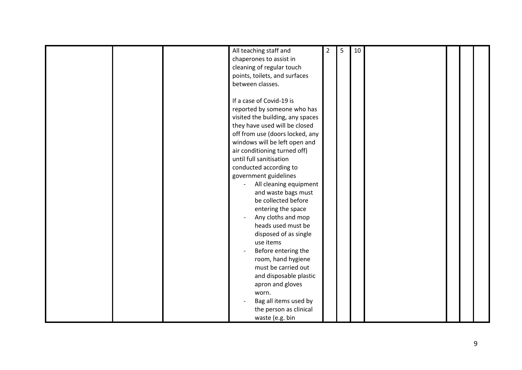|  | All teaching staff and           | 2 | 5 | 10 |  |  |
|--|----------------------------------|---|---|----|--|--|
|  | chaperones to assist in          |   |   |    |  |  |
|  | cleaning of regular touch        |   |   |    |  |  |
|  | points, toilets, and surfaces    |   |   |    |  |  |
|  | between classes.                 |   |   |    |  |  |
|  |                                  |   |   |    |  |  |
|  | If a case of Covid-19 is         |   |   |    |  |  |
|  | reported by someone who has      |   |   |    |  |  |
|  | visited the building, any spaces |   |   |    |  |  |
|  | they have used will be closed    |   |   |    |  |  |
|  | off from use (doors locked, any  |   |   |    |  |  |
|  |                                  |   |   |    |  |  |
|  | windows will be left open and    |   |   |    |  |  |
|  | air conditioning turned off)     |   |   |    |  |  |
|  | until full sanitisation          |   |   |    |  |  |
|  | conducted according to           |   |   |    |  |  |
|  | government guidelines            |   |   |    |  |  |
|  | All cleaning equipment           |   |   |    |  |  |
|  | and waste bags must              |   |   |    |  |  |
|  | be collected before              |   |   |    |  |  |
|  | entering the space               |   |   |    |  |  |
|  | Any cloths and mop               |   |   |    |  |  |
|  | heads used must be               |   |   |    |  |  |
|  | disposed of as single            |   |   |    |  |  |
|  | use items                        |   |   |    |  |  |
|  | Before entering the              |   |   |    |  |  |
|  | room, hand hygiene               |   |   |    |  |  |
|  | must be carried out              |   |   |    |  |  |
|  | and disposable plastic           |   |   |    |  |  |
|  | apron and gloves                 |   |   |    |  |  |
|  |                                  |   |   |    |  |  |
|  | worn.                            |   |   |    |  |  |
|  | Bag all items used by            |   |   |    |  |  |
|  | the person as clinical           |   |   |    |  |  |
|  | waste (e.g. bin                  |   |   |    |  |  |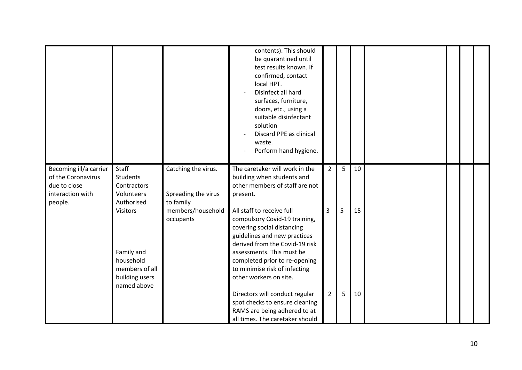|                                                                                             |                                                                                                                                                       |                                                                                           | contents). This should<br>be quarantined until<br>test results known. If<br>confirmed, contact<br>local HPT.<br>Disinfect all hard<br>surfaces, furniture,<br>doors, etc., using a<br>suitable disinfectant<br>solution<br>Discard PPE as clinical<br>waste.<br>Perform hand hygiene.                                                                                                             |                     |        |          |  |  |
|---------------------------------------------------------------------------------------------|-------------------------------------------------------------------------------------------------------------------------------------------------------|-------------------------------------------------------------------------------------------|---------------------------------------------------------------------------------------------------------------------------------------------------------------------------------------------------------------------------------------------------------------------------------------------------------------------------------------------------------------------------------------------------|---------------------|--------|----------|--|--|
| Becoming ill/a carrier<br>of the Coronavirus<br>due to close<br>interaction with<br>people. | Staff<br><b>Students</b><br>Contractors<br>Volunteers<br>Authorised<br><b>Visitors</b><br>Family and<br>household<br>members of all<br>building users | Catching the virus.<br>Spreading the virus<br>to family<br>members/household<br>occupants | The caretaker will work in the<br>building when students and<br>other members of staff are not<br>present.<br>All staff to receive full<br>compulsory Covid-19 training,<br>covering social distancing<br>guidelines and new practices<br>derived from the Covid-19 risk<br>assessments. This must be<br>completed prior to re-opening<br>to minimise risk of infecting<br>other workers on site. | $\overline{2}$<br>3 | 5<br>5 | 10<br>15 |  |  |
|                                                                                             | named above                                                                                                                                           |                                                                                           | Directors will conduct regular<br>spot checks to ensure cleaning<br>RAMS are being adhered to at<br>all times. The caretaker should                                                                                                                                                                                                                                                               | $\overline{2}$      | 5      | 10       |  |  |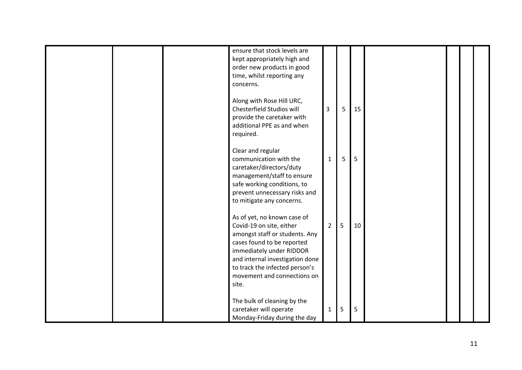|  | ensure that stock levels are<br>kept appropriately high and<br>order new products in good<br>time, whilst reporting any<br>concerns.                                                                                                                             |                |   |    |  |  |
|--|------------------------------------------------------------------------------------------------------------------------------------------------------------------------------------------------------------------------------------------------------------------|----------------|---|----|--|--|
|  | Along with Rose Hill URC,<br>Chesterfield Studios will<br>provide the caretaker with<br>additional PPE as and when<br>required.                                                                                                                                  | $\overline{3}$ | 5 | 15 |  |  |
|  | Clear and regular<br>communication with the<br>caretaker/directors/duty<br>management/staff to ensure<br>safe working conditions, to<br>prevent unnecessary risks and<br>to mitigate any concerns.                                                               | $\mathbf{1}$   | 5 | 5  |  |  |
|  | As of yet, no known case of<br>Covid-19 on site, either<br>amongst staff or students. Any<br>cases found to be reported<br>immediately under RIDDOR<br>and internal investigation done<br>to track the infected person's<br>movement and connections on<br>site. | $\overline{2}$ | 5 | 10 |  |  |
|  | The bulk of cleaning by the<br>caretaker will operate<br>Monday-Friday during the day                                                                                                                                                                            | $\mathbf{1}$   | 5 | 5  |  |  |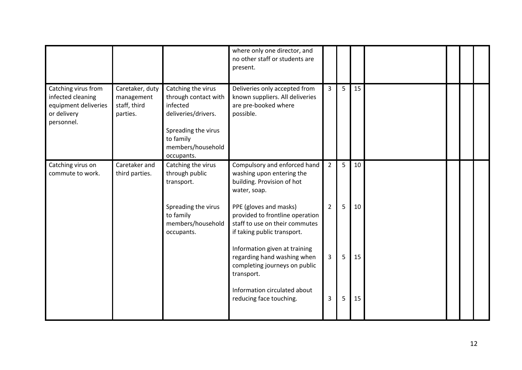|                                                                                               |                                                           |                                                                                                                                                      | where only one director, and<br>no other staff or students are<br>present.                                                 |                |   |    |  |  |
|-----------------------------------------------------------------------------------------------|-----------------------------------------------------------|------------------------------------------------------------------------------------------------------------------------------------------------------|----------------------------------------------------------------------------------------------------------------------------|----------------|---|----|--|--|
| Catching virus from<br>infected cleaning<br>equipment deliveries<br>or delivery<br>personnel. | Caretaker, duty<br>management<br>staff, third<br>parties. | Catching the virus<br>through contact with<br>infected<br>deliveries/drivers.<br>Spreading the virus<br>to family<br>members/household<br>occupants. | Deliveries only accepted from<br>known suppliers. All deliveries<br>are pre-booked where<br>possible.                      | $\overline{3}$ | 5 | 15 |  |  |
| Catching virus on<br>commute to work.                                                         | Caretaker and<br>third parties.                           | Catching the virus<br>through public<br>transport.                                                                                                   | Compulsory and enforced hand<br>washing upon entering the<br>building. Provision of hot<br>water, soap.                    | $\overline{2}$ | 5 | 10 |  |  |
|                                                                                               |                                                           | Spreading the virus<br>to family<br>members/household<br>occupants.                                                                                  | PPE (gloves and masks)<br>provided to frontline operation<br>staff to use on their commutes<br>if taking public transport. | $\overline{2}$ | 5 | 10 |  |  |
|                                                                                               |                                                           |                                                                                                                                                      | Information given at training<br>regarding hand washing when<br>completing journeys on public<br>transport.                | 3              | 5 | 15 |  |  |
|                                                                                               |                                                           |                                                                                                                                                      | Information circulated about<br>reducing face touching.                                                                    | 3              | 5 | 15 |  |  |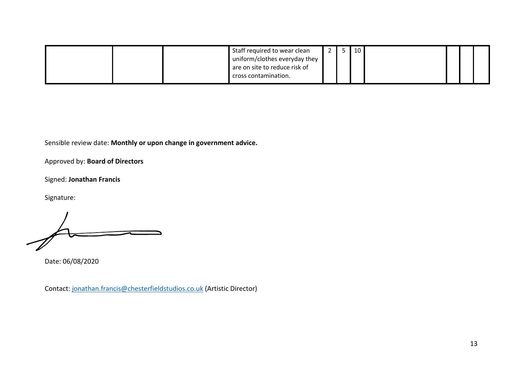| Staff required to wear clean  |  | 10 |  |  |
|-------------------------------|--|----|--|--|
| uniform/clothes everyday they |  |    |  |  |
| are on site to reduce risk of |  |    |  |  |
| cross contamination.          |  |    |  |  |

Approved by: **Board of Directors**

Signed: **Jonathan Francis**

Signature:

Date: 06/08/2020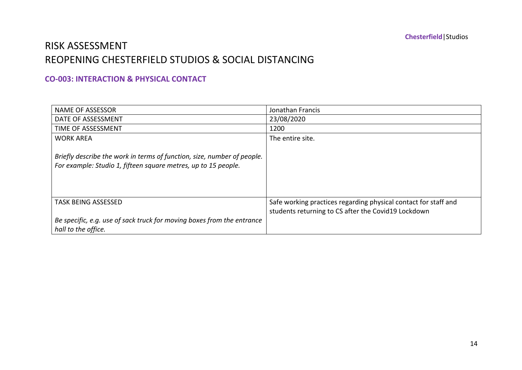### RISK ASSESSMENT REOPENING CHESTERFIELD STUDIOS & SOCIAL DISTANCING

#### **CO-003: INTERACTION & PHYSICAL CONTACT**

| <b>NAME OF ASSESSOR</b>                                                                                                                   | Jonathan Francis                                                                                                       |
|-------------------------------------------------------------------------------------------------------------------------------------------|------------------------------------------------------------------------------------------------------------------------|
| DATE OF ASSESSMENT                                                                                                                        | 23/08/2020                                                                                                             |
| TIME OF ASSESSMENT                                                                                                                        | 1200                                                                                                                   |
| <b>WORK AREA</b>                                                                                                                          | The entire site.                                                                                                       |
| Briefly describe the work in terms of function, size, number of people.<br>For example: Studio 1, fifteen square metres, up to 15 people. |                                                                                                                        |
| <b>TASK BEING ASSESSED</b>                                                                                                                | Safe working practices regarding physical contact for staff and<br>students returning to CS after the Covid19 Lockdown |
| Be specific, e.g. use of sack truck for moving boxes from the entrance<br>hall to the office.                                             |                                                                                                                        |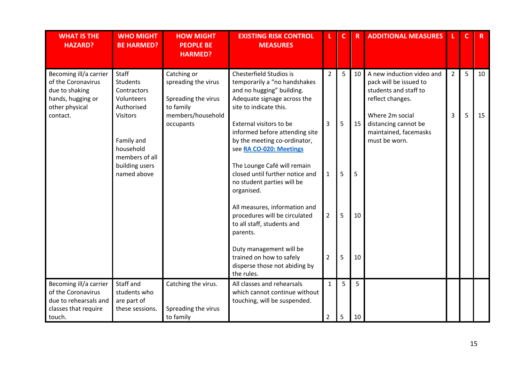| <b>WHAT IS THE</b><br><b>HAZARD?</b>                                                                    | <b>WHO MIGHT</b><br><b>BE HARMED?</b>                               | <b>HOW MIGHT</b><br><b>PEOPLE BE</b><br><b>HARMED?</b>                 | <b>EXISTING RISK CONTROL</b><br><b>MEASURES</b>                                                                                               |                                | C.     | $\mathsf R$ | <b>ADDITIONAL MEASURES</b>                                                                       |                | C | R  |
|---------------------------------------------------------------------------------------------------------|---------------------------------------------------------------------|------------------------------------------------------------------------|-----------------------------------------------------------------------------------------------------------------------------------------------|--------------------------------|--------|-------------|--------------------------------------------------------------------------------------------------|----------------|---|----|
| Becoming ill/a carrier<br>of the Coronavirus<br>due to shaking<br>hands, hugging or<br>other physical   | Staff<br><b>Students</b><br>Contractors<br>Volunteers<br>Authorised | Catching or<br>spreading the virus<br>Spreading the virus<br>to family | Chesterfield Studios is<br>temporarily a "no handshakes<br>and no hugging" building.<br>Adequate signage across the<br>site to indicate this. | $\overline{2}$                 | 5      | 10          | A new induction video and<br>pack will be issued to<br>students and staff to<br>reflect changes. | $\overline{2}$ | 5 | 10 |
| contact.                                                                                                | <b>Visitors</b><br>Family and<br>household                          | members/household<br>occupants                                         | External visitors to be<br>informed before attending site<br>by the meeting co-ordinator,<br>see RA CO-020: Meetings                          | 3                              | 5      | 15          | Where 2m social<br>distancing cannot be<br>maintained, facemasks<br>must be worn.                | 3              | 5 | 15 |
|                                                                                                         | members of all<br>building users<br>named above                     |                                                                        | The Lounge Café will remain<br>closed until further notice and<br>no student parties will be<br>organised.                                    | $\mathbf{1}$                   | 5      | 5           |                                                                                                  |                |   |    |
|                                                                                                         |                                                                     |                                                                        | All measures, information and<br>procedures will be circulated<br>to all staff, students and<br>parents.                                      | $\overline{2}$                 | 5      | 10          |                                                                                                  |                |   |    |
|                                                                                                         |                                                                     |                                                                        | Duty management will be<br>trained on how to safely<br>disperse those not abiding by<br>the rules.                                            | $\overline{2}$                 | 5      | 10          |                                                                                                  |                |   |    |
| Becoming ill/a carrier<br>of the Coronavirus<br>due to rehearsals and<br>classes that require<br>touch. | Staff and<br>students who<br>are part of<br>these sessions.         | Catching the virus.<br>Spreading the virus<br>to family                | All classes and rehearsals<br>which cannot continue without<br>touching, will be suspended.                                                   | $\mathbf{1}$<br>$\overline{2}$ | 5<br>5 | 5<br>10     |                                                                                                  |                |   |    |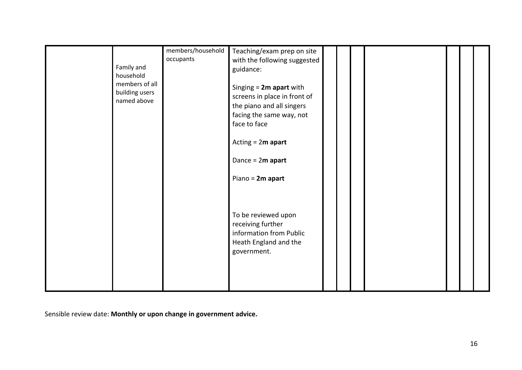| Family and<br>household<br>members of all<br>building users<br>named above | members/household<br>occupants | Teaching/exam prep on site<br>with the following suggested<br>guidance:<br>Singing $= 2m$ apart with<br>screens in place in front of<br>the piano and all singers<br>facing the same way, not<br>face to face<br>Acting $= 2m$ apart<br>Dance = $2m$ apart |  |  |  |
|----------------------------------------------------------------------------|--------------------------------|------------------------------------------------------------------------------------------------------------------------------------------------------------------------------------------------------------------------------------------------------------|--|--|--|
|                                                                            |                                | Piano = 2m apart<br>To be reviewed upon<br>receiving further<br>information from Public<br>Heath England and the<br>government.                                                                                                                            |  |  |  |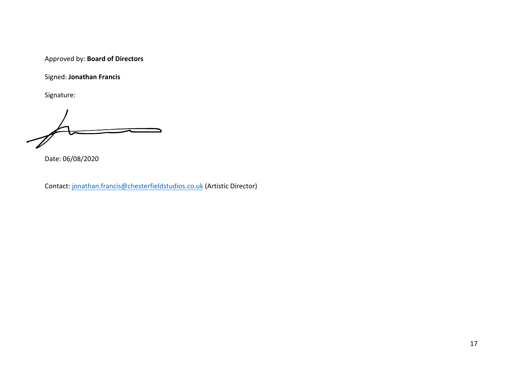Approved by: **Board of Directors**

Signed: **Jonathan Francis**

Signature:

Date: 06/08/2020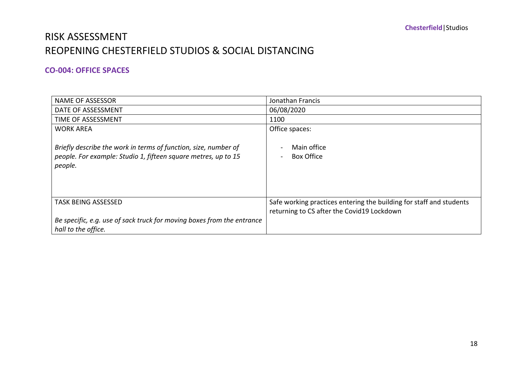### RISK ASSESSMENT REOPENING CHESTERFIELD STUDIOS & SOCIAL DISTANCING

#### **CO-004: OFFICE SPACES**

| <b>NAME OF ASSESSOR</b>                                                                                                                      | Jonathan Francis                                                                                                  |
|----------------------------------------------------------------------------------------------------------------------------------------------|-------------------------------------------------------------------------------------------------------------------|
| DATE OF ASSESSMENT                                                                                                                           | 06/08/2020                                                                                                        |
| TIME OF ASSESSMENT                                                                                                                           | 1100                                                                                                              |
| <b>WORK AREA</b>                                                                                                                             | Office spaces:                                                                                                    |
| Briefly describe the work in terms of function, size, number of<br>people. For example: Studio 1, fifteen square metres, up to 15<br>people. | Main office<br><b>Box Office</b>                                                                                  |
| <b>TASK BEING ASSESSED</b>                                                                                                                   | Safe working practices entering the building for staff and students<br>returning to CS after the Covid19 Lockdown |
| Be specific, e.g. use of sack truck for moving boxes from the entrance<br>hall to the office.                                                |                                                                                                                   |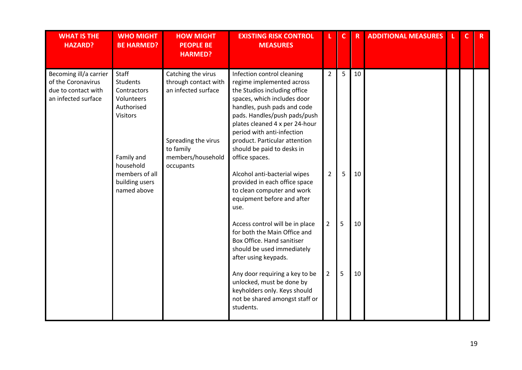| <b>WHAT IS THE</b><br><b>HAZARD?</b>                                                       | <b>WHO MIGHT</b><br><b>BE HARMED?</b>                                                  | <b>HOW MIGHT</b><br><b>PEOPLE BE</b><br><b>HARMED?</b>                                   | <b>EXISTING RISK CONTROL</b><br><b>MEASURES</b>                                                                                                                                                                                                                                        |                | $\mathbf{C}$ | $\overline{\mathsf{R}}$ | <b>ADDITIONAL MEASURES</b> | C | $\mathsf{R}$ |
|--------------------------------------------------------------------------------------------|----------------------------------------------------------------------------------------|------------------------------------------------------------------------------------------|----------------------------------------------------------------------------------------------------------------------------------------------------------------------------------------------------------------------------------------------------------------------------------------|----------------|--------------|-------------------------|----------------------------|---|--------------|
| Becoming ill/a carrier<br>of the Coronavirus<br>due to contact with<br>an infected surface | Staff<br><b>Students</b><br>Contractors<br>Volunteers<br>Authorised<br><b>Visitors</b> | Catching the virus<br>through contact with<br>an infected surface<br>Spreading the virus | Infection control cleaning<br>regime implemented across<br>the Studios including office<br>spaces, which includes door<br>handles, push pads and code<br>pads. Handles/push pads/push<br>plates cleaned 4 x per 24-hour<br>period with anti-infection<br>product. Particular attention | $\overline{2}$ | 5            | 10                      |                            |   |              |
|                                                                                            | Family and<br>household                                                                | to family<br>members/household<br>occupants                                              | should be paid to desks in<br>office spaces.                                                                                                                                                                                                                                           |                |              |                         |                            |   |              |
|                                                                                            | members of all<br>building users<br>named above                                        |                                                                                          | Alcohol anti-bacterial wipes<br>provided in each office space<br>to clean computer and work<br>equipment before and after<br>use.                                                                                                                                                      | $\overline{2}$ | 5            | 10                      |                            |   |              |
|                                                                                            |                                                                                        |                                                                                          | Access control will be in place<br>for both the Main Office and<br>Box Office. Hand sanitiser<br>should be used immediately<br>after using keypads.                                                                                                                                    | $\overline{2}$ | 5            | 10                      |                            |   |              |
|                                                                                            |                                                                                        |                                                                                          | Any door requiring a key to be<br>unlocked, must be done by<br>keyholders only. Keys should<br>not be shared amongst staff or<br>students.                                                                                                                                             | $\overline{2}$ | 5            | 10                      |                            |   |              |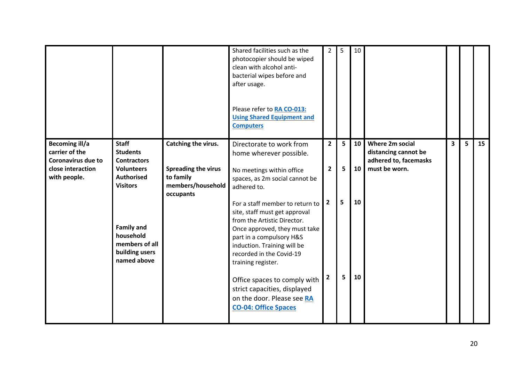|                                                                                                           |                                                                                                                                                                                                         |                                                                                           | Shared facilities such as the<br>photocopier should be wiped<br>clean with alcohol anti-<br>bacterial wipes before and<br>after usage.<br>Please refer to RA CO-013:<br><b>Using Shared Equipment and</b><br><b>Computers</b>                                                                                                                                                                                                                                                                                   | $\mathbf{2}^{\prime}$                                                | 5                | 10                   |                                                                                          |   |   |    |
|-----------------------------------------------------------------------------------------------------------|---------------------------------------------------------------------------------------------------------------------------------------------------------------------------------------------------------|-------------------------------------------------------------------------------------------|-----------------------------------------------------------------------------------------------------------------------------------------------------------------------------------------------------------------------------------------------------------------------------------------------------------------------------------------------------------------------------------------------------------------------------------------------------------------------------------------------------------------|----------------------------------------------------------------------|------------------|----------------------|------------------------------------------------------------------------------------------|---|---|----|
| <b>Becoming ill/a</b><br>carrier of the<br><b>Coronavirus due to</b><br>close interaction<br>with people. | <b>Staff</b><br><b>Students</b><br><b>Contractors</b><br><b>Volunteers</b><br><b>Authorised</b><br><b>Visitors</b><br><b>Family and</b><br>household<br>members of all<br>building users<br>named above | Catching the virus.<br>Spreading the virus<br>to family<br>members/household<br>occupants | Directorate to work from<br>home wherever possible.<br>No meetings within office<br>spaces, as 2m social cannot be<br>adhered to.<br>For a staff member to return to<br>site, staff must get approval<br>from the Artistic Director.<br>Once approved, they must take<br>part in a compulsory H&S<br>induction. Training will be<br>recorded in the Covid-19<br>training register.<br>Office spaces to comply with<br>strict capacities, displayed<br>on the door. Please see RA<br><b>CO-04: Office Spaces</b> | $\overline{2}$<br>$\overline{2}$<br>$\overline{2}$<br>$\overline{2}$ | 5<br>5<br>5<br>5 | 10<br>10<br>10<br>10 | <b>Where 2m social</b><br>distancing cannot be<br>adhered to, facemasks<br>must be worn. | 3 | 5 | 15 |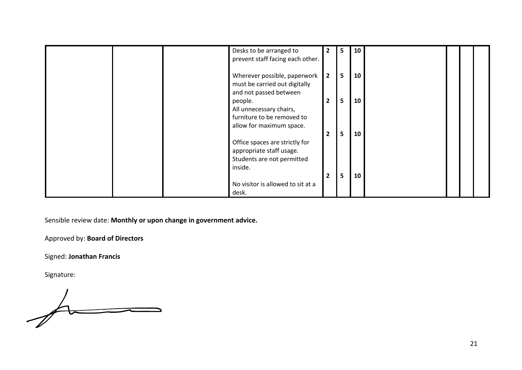|  | Desks to be arranged to<br>prevent staff facing each other.                                                          | $\overline{2}$ | 5 | 10 |  |  |
|--|----------------------------------------------------------------------------------------------------------------------|----------------|---|----|--|--|
|  | Wherever possible, paperwork<br>must be carried out digitally<br>and not passed between                              | $\overline{2}$ | 5 | 10 |  |  |
|  | people.<br>All unnecessary chairs,<br>furniture to be removed to                                                     | $\mathbf{2}$   | 5 | 10 |  |  |
|  | allow for maximum space.<br>Office spaces are strictly for<br>appropriate staff usage.<br>Students are not permitted | $\mathbf{2}$   | 5 | 10 |  |  |
|  | inside.<br>No visitor is allowed to sit at a<br>desk.                                                                | $\overline{2}$ | 5 | 10 |  |  |

Approved by: **Board of Directors**

Signed: **Jonathan Francis**

Signature:

 $\overline{\mathcal{A}}$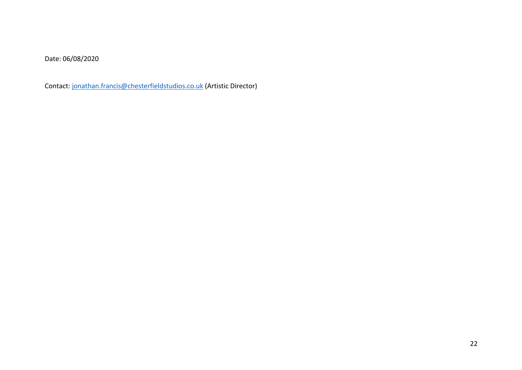Date: 06/08/2020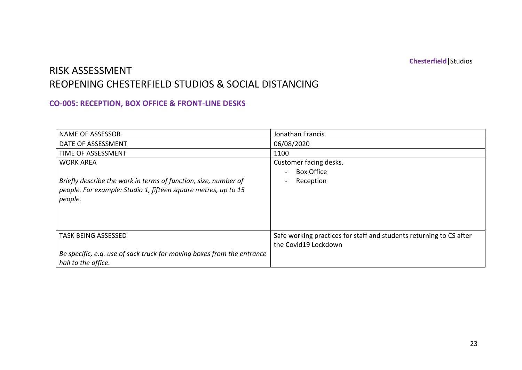### RISK ASSESSMENT REOPENING CHESTERFIELD STUDIOS & SOCIAL DISTANCING

### **CO-005: RECEPTION, BOX OFFICE & FRONT-LINE DESKS**

| <b>NAME OF ASSESSOR</b>                                                | Jonathan Francis                                                    |
|------------------------------------------------------------------------|---------------------------------------------------------------------|
| DATE OF ASSESSMENT                                                     | 06/08/2020                                                          |
| TIME OF ASSESSMENT                                                     | 1100                                                                |
| <b>WORK AREA</b>                                                       | Customer facing desks.                                              |
|                                                                        | <b>Box Office</b>                                                   |
| Briefly describe the work in terms of function, size, number of        | Reception                                                           |
| people. For example: Studio 1, fifteen square metres, up to 15         |                                                                     |
| people.                                                                |                                                                     |
|                                                                        |                                                                     |
|                                                                        |                                                                     |
|                                                                        |                                                                     |
| <b>TASK BEING ASSESSED</b>                                             | Safe working practices for staff and students returning to CS after |
|                                                                        | the Covid19 Lockdown                                                |
| Be specific, e.g. use of sack truck for moving boxes from the entrance |                                                                     |
| hall to the office.                                                    |                                                                     |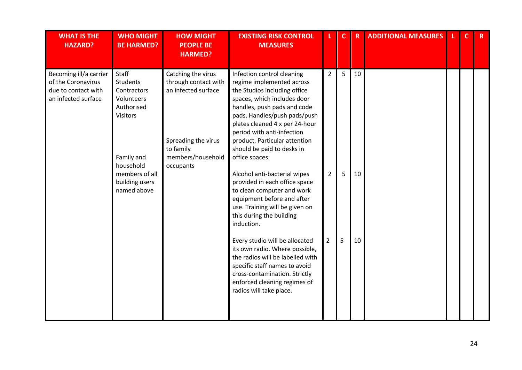| <b>WHAT IS THE</b><br><b>HAZARD?</b>                                                       | <b>WHO MIGHT</b><br><b>BE HARMED?</b>                                      | <b>HOW MIGHT</b><br><b>PEOPLE BE</b><br><b>HARMED?</b>                                                | <b>EXISTING RISK CONTROL</b><br><b>MEASURES</b>                                                                                                                                                                                                                                                                      |                | $\mathbf{C}$ | $\overline{\mathsf{R}}$ | <b>ADDITIONAL MEASURES</b> | $\mathbf{C}$ | $\mathsf{R}$ |
|--------------------------------------------------------------------------------------------|----------------------------------------------------------------------------|-------------------------------------------------------------------------------------------------------|----------------------------------------------------------------------------------------------------------------------------------------------------------------------------------------------------------------------------------------------------------------------------------------------------------------------|----------------|--------------|-------------------------|----------------------------|--------------|--------------|
| Becoming ill/a carrier<br>of the Coronavirus<br>due to contact with<br>an infected surface | Staff<br>Students<br>Contractors<br>Volunteers<br>Authorised<br>Visitors   | Catching the virus<br>through contact with<br>an infected surface<br>Spreading the virus<br>to family | Infection control cleaning<br>regime implemented across<br>the Studios including office<br>spaces, which includes door<br>handles, push pads and code<br>pads. Handles/push pads/push<br>plates cleaned 4 x per 24-hour<br>period with anti-infection<br>product. Particular attention<br>should be paid to desks in | $\overline{2}$ | 5            | 10                      |                            |              |              |
|                                                                                            | Family and<br>household<br>members of all<br>building users<br>named above | members/household<br>occupants                                                                        | office spaces.<br>Alcohol anti-bacterial wipes<br>provided in each office space<br>to clean computer and work<br>equipment before and after<br>use. Training will be given on<br>this during the building<br>induction.                                                                                              | $\overline{2}$ | 5            | 10                      |                            |              |              |
|                                                                                            |                                                                            |                                                                                                       | Every studio will be allocated<br>its own radio. Where possible,<br>the radios will be labelled with<br>specific staff names to avoid<br>cross-contamination. Strictly<br>enforced cleaning regimes of<br>radios will take place.                                                                                    | $\overline{2}$ | 5            | 10                      |                            |              |              |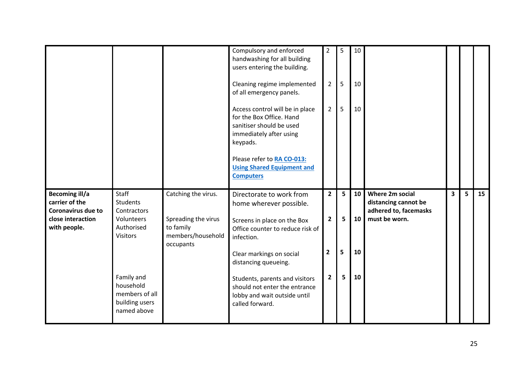|                                                                                                           |                                                                                                                                                                      |                                                                                           | Compulsory and enforced<br>handwashing for all building<br>users entering the building.<br>Cleaning regime implemented<br>of all emergency panels.<br>Access control will be in place<br>for the Box Office. Hand<br>sanitiser should be used<br>immediately after using<br>keypads.<br>Please refer to RA CO-013:<br><b>Using Shared Equipment and</b><br><b>Computers</b> | 2<br>$\overline{2}$<br>$\overline{2}$                                | 5<br>5<br>5      | 10<br>10<br>10       |                                                                                   |                         |   |    |
|-----------------------------------------------------------------------------------------------------------|----------------------------------------------------------------------------------------------------------------------------------------------------------------------|-------------------------------------------------------------------------------------------|-----------------------------------------------------------------------------------------------------------------------------------------------------------------------------------------------------------------------------------------------------------------------------------------------------------------------------------------------------------------------------|----------------------------------------------------------------------|------------------|----------------------|-----------------------------------------------------------------------------------|-------------------------|---|----|
| <b>Becoming ill/a</b><br>carrier of the<br><b>Coronavirus due to</b><br>close interaction<br>with people. | Staff<br><b>Students</b><br>Contractors<br>Volunteers<br>Authorised<br><b>Visitors</b><br>Family and<br>household<br>members of all<br>building users<br>named above | Catching the virus.<br>Spreading the virus<br>to family<br>members/household<br>occupants | Directorate to work from<br>home wherever possible.<br>Screens in place on the Box<br>Office counter to reduce risk of<br>infection.<br>Clear markings on social<br>distancing queueing.<br>Students, parents and visitors<br>should not enter the entrance<br>lobby and wait outside until<br>called forward.                                                              | $\overline{2}$<br>$\overline{2}$<br>$\overline{2}$<br>$\overline{2}$ | 5<br>5<br>5<br>5 | 10<br>10<br>10<br>10 | Where 2m social<br>distancing cannot be<br>adhered to, facemasks<br>must be worn. | $\overline{\mathbf{3}}$ | 5 | 15 |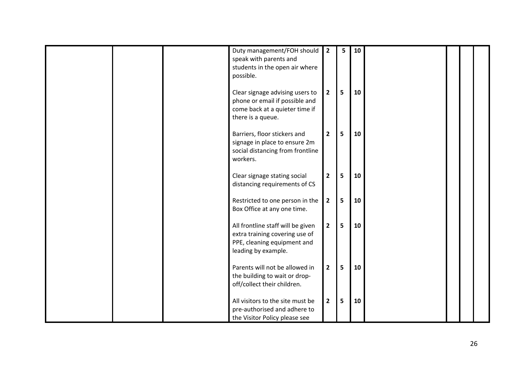|  | Duty management/FOH should<br>speak with parents and<br>students in the open air where<br>possible.                       | $\overline{2}$ | 5. | 10 |  |  |
|--|---------------------------------------------------------------------------------------------------------------------------|----------------|----|----|--|--|
|  | Clear signage advising users to<br>phone or email if possible and<br>come back at a quieter time if<br>there is a queue.  | $\mathbf{2}$   | 5  | 10 |  |  |
|  | Barriers, floor stickers and<br>signage in place to ensure 2m<br>social distancing from frontline<br>workers.             | $\overline{2}$ | 5  | 10 |  |  |
|  | Clear signage stating social<br>distancing requirements of CS                                                             | $\overline{2}$ | 5  | 10 |  |  |
|  | Restricted to one person in the<br>Box Office at any one time.                                                            | $\mathbf{2}$   | 5  | 10 |  |  |
|  | All frontline staff will be given<br>extra training covering use of<br>PPE, cleaning equipment and<br>leading by example. | $\overline{2}$ | 5  | 10 |  |  |
|  | Parents will not be allowed in<br>the building to wait or drop-<br>off/collect their children.                            | $\mathbf{2}$   | 5  | 10 |  |  |
|  | All visitors to the site must be<br>pre-authorised and adhere to<br>the Visitor Policy please see                         | $\mathbf{2}$   | 5  | 10 |  |  |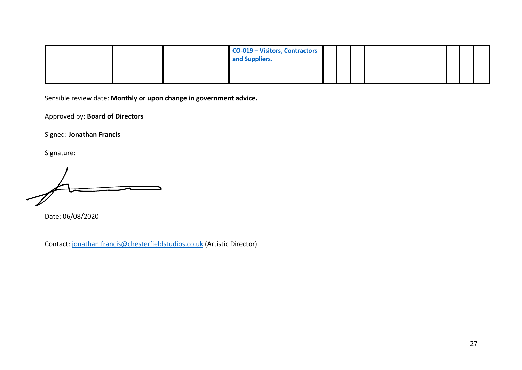| <b>CO-019 - Visitors, Contractors</b><br>and Suppliers. |  |  |  |  |
|---------------------------------------------------------|--|--|--|--|
|                                                         |  |  |  |  |

Approved by: **Board of Directors**

Signed: **Jonathan Francis**

Signature:

Date: 06/08/2020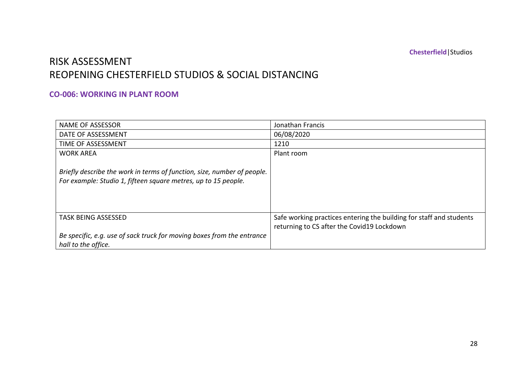## RISK ASSESSMENT REOPENING CHESTERFIELD STUDIOS & SOCIAL DISTANCING

#### **CO-006: WORKING IN PLANT ROOM**

| <b>NAME OF ASSESSOR</b>                                                                                                                   | Jonathan Francis                                                                                                  |
|-------------------------------------------------------------------------------------------------------------------------------------------|-------------------------------------------------------------------------------------------------------------------|
| DATE OF ASSESSMENT                                                                                                                        | 06/08/2020                                                                                                        |
| TIME OF ASSESSMENT                                                                                                                        | 1210                                                                                                              |
| <b>WORK AREA</b>                                                                                                                          | Plant room                                                                                                        |
| Briefly describe the work in terms of function, size, number of people.<br>For example: Studio 1, fifteen square metres, up to 15 people. |                                                                                                                   |
| <b>TASK BEING ASSESSED</b>                                                                                                                | Safe working practices entering the building for staff and students<br>returning to CS after the Covid19 Lockdown |
| Be specific, e.g. use of sack truck for moving boxes from the entrance<br>hall to the office.                                             |                                                                                                                   |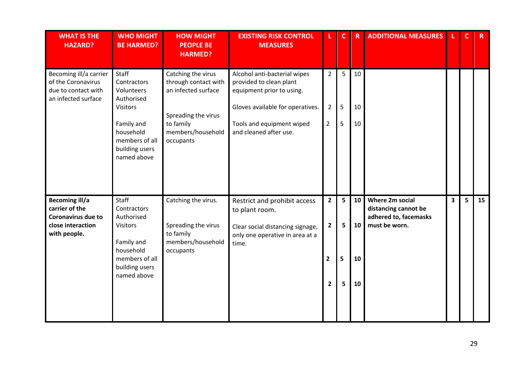| <b>WHAT IS THE</b><br><b>HAZARD?</b>                                                                      | <b>WHO MIGHT</b><br><b>BE HARMED?</b>                                                                                                             | <b>HOW MIGHT</b><br><b>PEOPLE BE</b><br><b>HARMED?</b>                                                                                  | <b>EXISTING RISK CONTROL</b><br><b>MEASURES</b>                                                                                                                                 |                                                                    | $\mathbf C$      | $\overline{\mathsf{R}}$ | <b>ADDITIONAL MEASURES</b>                                                        |                         |   | $R_{\perp}$     |
|-----------------------------------------------------------------------------------------------------------|---------------------------------------------------------------------------------------------------------------------------------------------------|-----------------------------------------------------------------------------------------------------------------------------------------|---------------------------------------------------------------------------------------------------------------------------------------------------------------------------------|--------------------------------------------------------------------|------------------|-------------------------|-----------------------------------------------------------------------------------|-------------------------|---|-----------------|
| Becoming ill/a carrier<br>of the Coronavirus<br>due to contact with<br>an infected surface                | Staff<br>Contractors<br>Volunteers<br>Authorised<br><b>Visitors</b><br>Family and<br>household<br>members of all<br>building users<br>named above | Catching the virus<br>through contact with<br>an infected surface<br>Spreading the virus<br>to family<br>members/household<br>occupants | Alcohol anti-bacterial wipes<br>provided to clean plant<br>equipment prior to using.<br>Gloves available for operatives.<br>Tools and equipment wiped<br>and cleaned after use. | $\overline{2}$<br>$\overline{2}$<br>$\overline{2}$                 | 5<br>5<br>5      | 10<br>10<br>10          |                                                                                   |                         |   |                 |
| <b>Becoming ill/a</b><br>carrier of the<br><b>Coronavirus due to</b><br>close interaction<br>with people. | Staff<br>Contractors<br>Authorised<br>Visitors<br>Family and<br>household<br>members of all<br>building users<br>named above                      | Catching the virus.<br>Spreading the virus<br>to family<br>members/household<br>occupants                                               | Restrict and prohibit access<br>to plant room.<br>Clear social distancing signage,<br>only one operative in area at a<br>time.                                                  | $\mathbf{2}$<br>$\overline{2}$<br>$\overline{2}$<br>$\overline{2}$ | 5<br>5<br>5<br>5 | 10<br>10<br>10<br>10    | Where 2m social<br>distancing cannot be<br>adhered to, facemasks<br>must be worn. | $\overline{\mathbf{3}}$ | 5 | 15 <sub>1</sub> |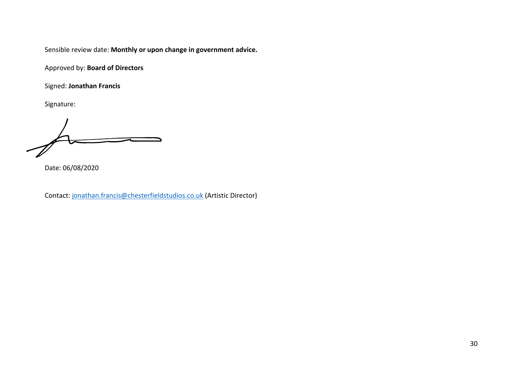Approved by: **Board of Directors**

Signed: **Jonathan Francis**

Signature:

Date: 06/08/2020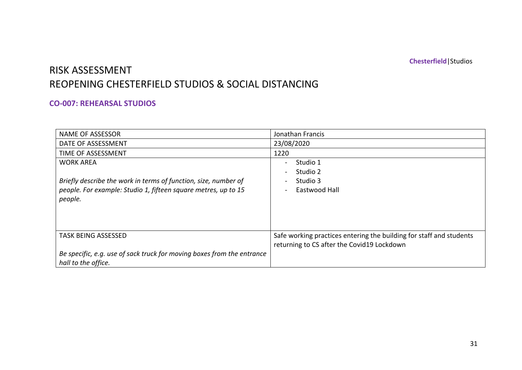# RISK ASSESSMENT REOPENING CHESTERFIELD STUDIOS & SOCIAL DISTANCING

#### **CO-007: REHEARSAL STUDIOS**

| <b>NAME OF ASSESSOR</b>                                                | Jonathan Francis                                                    |
|------------------------------------------------------------------------|---------------------------------------------------------------------|
| DATE OF ASSESSMENT                                                     | 23/08/2020                                                          |
| TIME OF ASSESSMENT                                                     | 1220                                                                |
| <b>WORK AREA</b>                                                       | Studio 1                                                            |
|                                                                        | Studio 2                                                            |
| Briefly describe the work in terms of function, size, number of        | Studio 3                                                            |
| people. For example: Studio 1, fifteen square metres, up to 15         | Eastwood Hall                                                       |
| people.                                                                |                                                                     |
|                                                                        |                                                                     |
|                                                                        |                                                                     |
|                                                                        |                                                                     |
| <b>TASK BEING ASSESSED</b>                                             | Safe working practices entering the building for staff and students |
|                                                                        | returning to CS after the Covid19 Lockdown                          |
| Be specific, e.g. use of sack truck for moving boxes from the entrance |                                                                     |
| hall to the office.                                                    |                                                                     |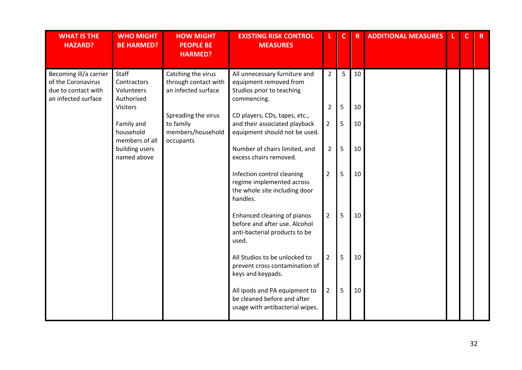| <b>WHAT IS THE</b><br><b>HAZARD?</b>                                                       | <b>WHO MIGHT</b><br><b>BE HARMED?</b>                  | <b>HOW MIGHT</b><br><b>PEOPLE BE</b><br><b>HARMED?</b>            | <b>EXISTING RISK CONTROL</b><br><b>MEASURES</b>                                                        |                | $\mathbf{C}$ | $\mathsf{R}$ | <b>ADDITIONAL MEASURES</b> | $\mathbf{C}$ | $R_{\perp}$ |
|--------------------------------------------------------------------------------------------|--------------------------------------------------------|-------------------------------------------------------------------|--------------------------------------------------------------------------------------------------------|----------------|--------------|--------------|----------------------------|--------------|-------------|
| Becoming ill/a carrier<br>of the Coronavirus<br>due to contact with<br>an infected surface | Staff<br>Contractors<br>Volunteers<br>Authorised       | Catching the virus<br>through contact with<br>an infected surface | All unnecessary furniture and<br>equipment removed from<br>Studios prior to teaching<br>commencing.    | $\overline{2}$ | 5            | 10           |                            |              |             |
|                                                                                            | <b>Visitors</b>                                        | Spreading the virus                                               | CD players, CDs, tapes, etc.,                                                                          | $\overline{2}$ | 5            | 10           |                            |              |             |
|                                                                                            | to family<br>Family and<br>household<br>members of all | members/household<br>occupants                                    | and their associated playback<br>equipment should not be used.                                         | $\overline{2}$ | 5            | 10           |                            |              |             |
|                                                                                            | building users<br>named above                          |                                                                   | Number of chairs limited, and<br>excess chairs removed.                                                | $\overline{2}$ | 5            | 10           |                            |              |             |
|                                                                                            |                                                        |                                                                   | Infection control cleaning<br>regime implemented across<br>the whole site including door<br>handles.   | $\overline{2}$ | 5            | 10           |                            |              |             |
|                                                                                            |                                                        |                                                                   | Enhanced cleaning of pianos<br>before and after use. Alcohol<br>anti-bacterial products to be<br>used. | $\overline{2}$ | 5            | 10           |                            |              |             |
|                                                                                            |                                                        |                                                                   | All Studios to be unlocked to<br>prevent cross contamination of<br>keys and keypads.                   | $\overline{2}$ | 5            | 10           |                            |              |             |
|                                                                                            |                                                        |                                                                   | All ipods and PA equipment to<br>be cleaned before and after<br>usage with antibacterial wipes.        | $\overline{2}$ | 5            | 10           |                            |              |             |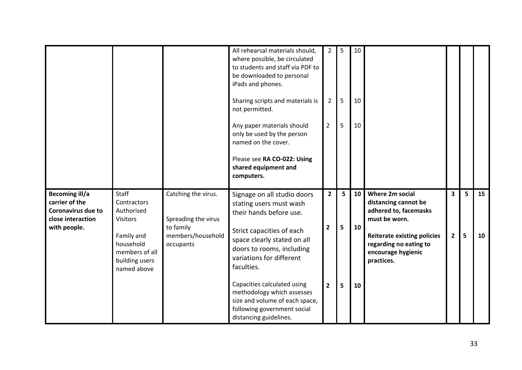|                                                                                                           |                                                                                                                                     |                                                                                           | All rehearsal materials should,<br>where possible, be circulated<br>to students and staff via PDF to<br>be downloaded to personal<br>iPads and phones.<br>Sharing scripts and materials is<br>not permitted.<br>Any paper materials should<br>only be used by the person<br>named on the cover.<br>Please see RA CO-022: Using<br>shared equipment and<br>computers.         | $\overline{2}$<br>$\overline{2}$<br>$\overline{2}$ | 5<br>5<br>5 | 10<br>10<br>10 |                                                                                                                                                                                       |                                           |        |          |
|-----------------------------------------------------------------------------------------------------------|-------------------------------------------------------------------------------------------------------------------------------------|-------------------------------------------------------------------------------------------|------------------------------------------------------------------------------------------------------------------------------------------------------------------------------------------------------------------------------------------------------------------------------------------------------------------------------------------------------------------------------|----------------------------------------------------|-------------|----------------|---------------------------------------------------------------------------------------------------------------------------------------------------------------------------------------|-------------------------------------------|--------|----------|
| <b>Becoming ill/a</b><br>carrier of the<br><b>Coronavirus due to</b><br>close interaction<br>with people. | Staff<br>Contractors<br>Authorised<br><b>Visitors</b><br>Family and<br>household<br>members of all<br>building users<br>named above | Catching the virus.<br>Spreading the virus<br>to family<br>members/household<br>occupants | Signage on all studio doors<br>stating users must wash<br>their hands before use.<br>Strict capacities of each<br>space clearly stated on all<br>doors to rooms, including<br>variations for different<br>faculties.<br>Capacities calculated using<br>methodology which assesses<br>size and volume of each space,<br>following government social<br>distancing guidelines. | $\mathbf{2}$<br>$\overline{2}$<br>$\overline{2}$   | 5<br>5<br>5 | 10<br>10<br>10 | Where 2m social<br>distancing cannot be<br>adhered to, facemasks<br>must be worn.<br><b>Reiterate existing policies</b><br>regarding no eating to<br>encourage hygienic<br>practices. | $\overline{\mathbf{3}}$<br>$\overline{2}$ | 5<br>5 | 15<br>10 |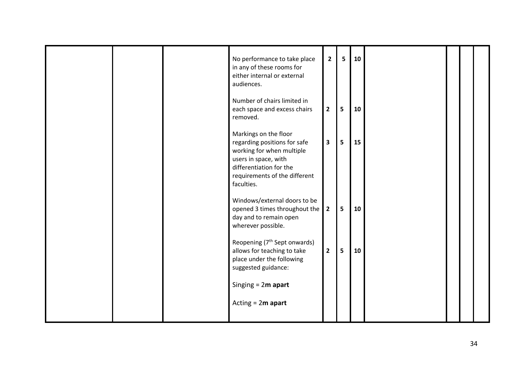|  | No performance to take place<br>in any of these rooms for<br>either internal or external<br>audiences.                                                                               | $\overline{2}$          | 5 | 10 |  |  |
|--|--------------------------------------------------------------------------------------------------------------------------------------------------------------------------------------|-------------------------|---|----|--|--|
|  | Number of chairs limited in<br>each space and excess chairs<br>removed.                                                                                                              | $\overline{2}$          | 5 | 10 |  |  |
|  | Markings on the floor<br>regarding positions for safe<br>working for when multiple<br>users in space, with<br>differentiation for the<br>requirements of the different<br>faculties. | $\overline{\mathbf{3}}$ | 5 | 15 |  |  |
|  | Windows/external doors to be<br>opened 3 times throughout the<br>day and to remain open<br>wherever possible.                                                                        | $\overline{\mathbf{2}}$ | 5 | 10 |  |  |
|  | Reopening (7 <sup>th</sup> Sept onwards)<br>allows for teaching to take<br>place under the following<br>suggested guidance:                                                          | $\overline{2}$          | 5 | 10 |  |  |
|  | Singing $= 2m$ apart                                                                                                                                                                 |                         |   |    |  |  |
|  | Acting $= 2m$ apart                                                                                                                                                                  |                         |   |    |  |  |
|  |                                                                                                                                                                                      |                         |   |    |  |  |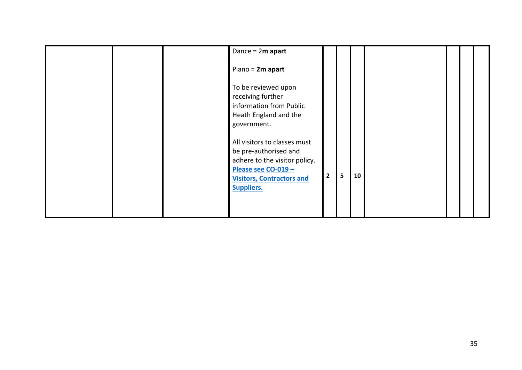|  | Dance = $2m$ apart<br>Piano = 2m apart                                                                                                                                 |                |   |    |  |  |
|--|------------------------------------------------------------------------------------------------------------------------------------------------------------------------|----------------|---|----|--|--|
|  | To be reviewed upon<br>receiving further<br>information from Public<br>Heath England and the<br>government.                                                            |                |   |    |  |  |
|  | All visitors to classes must<br>be pre-authorised and<br>adhere to the visitor policy.<br>Please see CO-019 -<br><b>Visitors, Contractors and</b><br><b>Suppliers.</b> | $\overline{2}$ | 5 | 10 |  |  |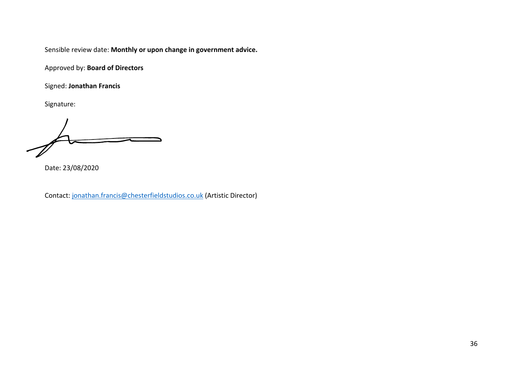Approved by: **Board of Directors**

Signed: **Jonathan Francis**

Signature:

Date: 23/08/2020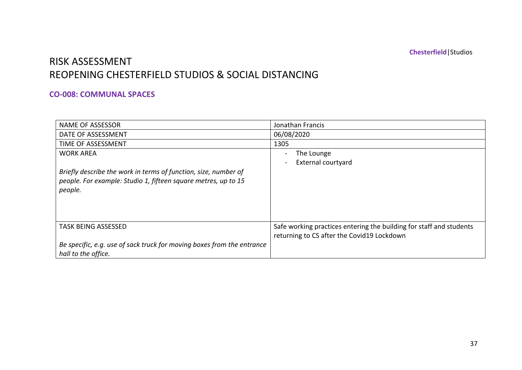### RISK ASSESSMENT REOPENING CHESTERFIELD STUDIOS & SOCIAL DISTANCING

#### **CO-008: COMMUNAL SPACES**

| <b>NAME OF ASSESSOR</b>                                                | Jonathan Francis                                                    |
|------------------------------------------------------------------------|---------------------------------------------------------------------|
| DATE OF ASSESSMENT                                                     | 06/08/2020                                                          |
| TIME OF ASSESSMENT                                                     | 1305                                                                |
| <b>WORK AREA</b>                                                       | The Lounge                                                          |
|                                                                        | <b>External courtyard</b>                                           |
| Briefly describe the work in terms of function, size, number of        |                                                                     |
| people. For example: Studio 1, fifteen square metres, up to 15         |                                                                     |
| people.                                                                |                                                                     |
|                                                                        |                                                                     |
|                                                                        |                                                                     |
|                                                                        |                                                                     |
| <b>TASK BEING ASSESSED</b>                                             | Safe working practices entering the building for staff and students |
|                                                                        | returning to CS after the Covid19 Lockdown                          |
| Be specific, e.g. use of sack truck for moving boxes from the entrance |                                                                     |
| hall to the office.                                                    |                                                                     |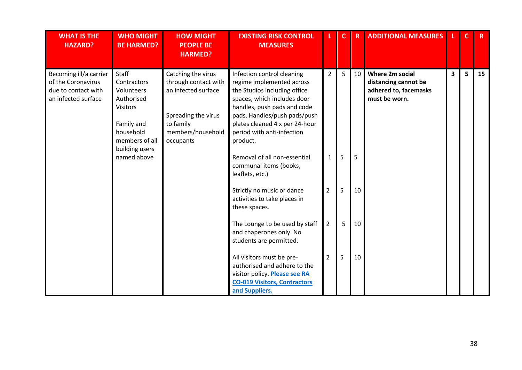| <b>WHAT IS THE</b><br><b>HAZARD?</b>                                                       | <b>WHO MIGHT</b><br><b>BE HARMED?</b>                                                                                                                    | <b>HOW MIGHT</b><br><b>PEOPLE BE</b><br><b>HARMED?</b>                                                                                  | <b>EXISTING RISK CONTROL</b><br><b>MEASURES</b>                                                                                                                                                                                                                                                                                                                              |                                                  | C.          | $\overline{R}$ | <b>ADDITIONAL MEASURES</b>                                                               |   | C | $\mathsf{R}$ |
|--------------------------------------------------------------------------------------------|----------------------------------------------------------------------------------------------------------------------------------------------------------|-----------------------------------------------------------------------------------------------------------------------------------------|------------------------------------------------------------------------------------------------------------------------------------------------------------------------------------------------------------------------------------------------------------------------------------------------------------------------------------------------------------------------------|--------------------------------------------------|-------------|----------------|------------------------------------------------------------------------------------------|---|---|--------------|
| Becoming ill/a carrier<br>of the Coronavirus<br>due to contact with<br>an infected surface | <b>Staff</b><br>Contractors<br>Volunteers<br>Authorised<br><b>Visitors</b><br>Family and<br>household<br>members of all<br>building users<br>named above | Catching the virus<br>through contact with<br>an infected surface<br>Spreading the virus<br>to family<br>members/household<br>occupants | Infection control cleaning<br>regime implemented across<br>the Studios including office<br>spaces, which includes door<br>handles, push pads and code<br>pads. Handles/push pads/push<br>plates cleaned 4 x per 24-hour<br>period with anti-infection<br>product.<br>Removal of all non-essential<br>communal items (books,<br>leaflets, etc.)<br>Strictly no music or dance | $\overline{2}$<br>$\mathbf{1}$<br>$\overline{2}$ | 5<br>5<br>5 | 10<br>5<br>10  | <b>Where 2m social</b><br>distancing cannot be<br>adhered to, facemasks<br>must be worn. | 3 | 5 | 15           |
|                                                                                            |                                                                                                                                                          |                                                                                                                                         | activities to take places in<br>these spaces.                                                                                                                                                                                                                                                                                                                                |                                                  |             |                |                                                                                          |   |   |              |
|                                                                                            |                                                                                                                                                          |                                                                                                                                         | The Lounge to be used by staff<br>and chaperones only. No<br>students are permitted.                                                                                                                                                                                                                                                                                         | $\overline{2}$                                   | 5           | 10             |                                                                                          |   |   |              |
|                                                                                            |                                                                                                                                                          |                                                                                                                                         | All visitors must be pre-<br>authorised and adhere to the<br>visitor policy. Please see RA<br><b>CO-019 Visitors, Contractors</b><br>and Suppliers.                                                                                                                                                                                                                          | $\overline{2}$                                   | 5           | 10             |                                                                                          |   |   |              |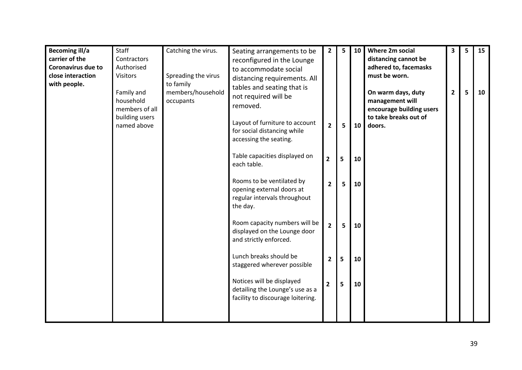| <b>Becoming ill/a</b><br>carrier of the<br><b>Coronavirus due to</b><br>close interaction<br>with people. | Staff<br>Contractors<br>Authorised<br><b>Visitors</b><br>Family and<br>household<br>members of all | Catching the virus.<br>Spreading the virus<br>to family<br>members/household<br>occupants | Seating arrangements to be<br>reconfigured in the Lounge<br>to accommodate social<br>distancing requirements. All<br>tables and seating that is<br>not required will be<br>removed. | $\overline{2}$ | 5 | 10 | <b>Where 2m social</b><br>distancing cannot be<br>adhered to, facemasks<br>must be worn.<br>On warm days, duty<br>management will<br>encourage building users | 3<br>$\overline{2}$ | 5<br>5 | 15<br>10 |
|-----------------------------------------------------------------------------------------------------------|----------------------------------------------------------------------------------------------------|-------------------------------------------------------------------------------------------|-------------------------------------------------------------------------------------------------------------------------------------------------------------------------------------|----------------|---|----|---------------------------------------------------------------------------------------------------------------------------------------------------------------|---------------------|--------|----------|
|                                                                                                           | building users<br>named above                                                                      |                                                                                           | Layout of furniture to account<br>for social distancing while<br>accessing the seating.                                                                                             | $\overline{2}$ | 5 | 10 | to take breaks out of<br>doors.                                                                                                                               |                     |        |          |
|                                                                                                           |                                                                                                    |                                                                                           | Table capacities displayed on<br>each table.                                                                                                                                        | $\overline{2}$ | 5 | 10 |                                                                                                                                                               |                     |        |          |
|                                                                                                           |                                                                                                    |                                                                                           | Rooms to be ventilated by<br>opening external doors at<br>regular intervals throughout<br>the day.                                                                                  | $\overline{2}$ | 5 | 10 |                                                                                                                                                               |                     |        |          |
|                                                                                                           |                                                                                                    |                                                                                           | Room capacity numbers will be<br>displayed on the Lounge door<br>and strictly enforced.                                                                                             | $\overline{2}$ | 5 | 10 |                                                                                                                                                               |                     |        |          |
|                                                                                                           |                                                                                                    |                                                                                           | Lunch breaks should be<br>staggered wherever possible                                                                                                                               | $\overline{2}$ | 5 | 10 |                                                                                                                                                               |                     |        |          |
|                                                                                                           |                                                                                                    |                                                                                           | Notices will be displayed<br>detailing the Lounge's use as a<br>facility to discourage loitering.                                                                                   | $\overline{2}$ | 5 | 10 |                                                                                                                                                               |                     |        |          |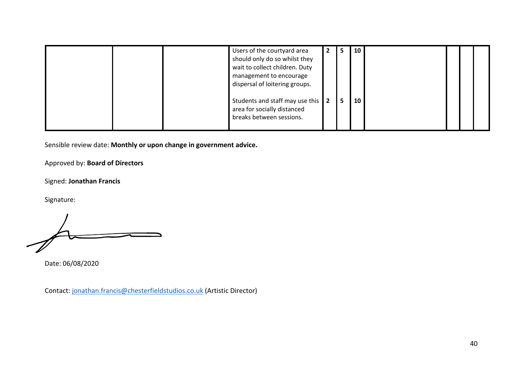|  | Users of the courtyard area<br>should only do so whilst they<br>wait to collect children. Duty<br>management to encourage<br>dispersal of loitering groups. | -2  | C. | 10 |  |  |
|--|-------------------------------------------------------------------------------------------------------------------------------------------------------------|-----|----|----|--|--|
|  | Students and staff may use this<br>area for socially distanced<br>breaks between sessions.                                                                  | l 2 |    | 10 |  |  |

Approved by: **Board of Directors**

Signed: **Jonathan Francis**

Signature:

Date: 06/08/2020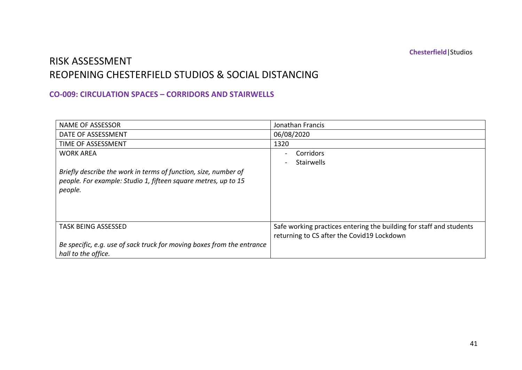### RISK ASSESSMENT REOPENING CHESTERFIELD STUDIOS & SOCIAL DISTANCING

#### **CO-009: CIRCULATION SPACES – CORRIDORS AND STAIRWELLS**

| <b>NAME OF ASSESSOR</b>                                                | Jonathan Francis                                                    |
|------------------------------------------------------------------------|---------------------------------------------------------------------|
| DATE OF ASSESSMENT                                                     | 06/08/2020                                                          |
| TIME OF ASSESSMENT                                                     | 1320                                                                |
| <b>WORK AREA</b>                                                       | Corridors                                                           |
|                                                                        | Stairwells                                                          |
| Briefly describe the work in terms of function, size, number of        |                                                                     |
| people. For example: Studio 1, fifteen square metres, up to 15         |                                                                     |
| people.                                                                |                                                                     |
|                                                                        |                                                                     |
|                                                                        |                                                                     |
|                                                                        |                                                                     |
| <b>TASK BEING ASSESSED</b>                                             | Safe working practices entering the building for staff and students |
|                                                                        | returning to CS after the Covid19 Lockdown                          |
| Be specific, e.g. use of sack truck for moving boxes from the entrance |                                                                     |
| hall to the office.                                                    |                                                                     |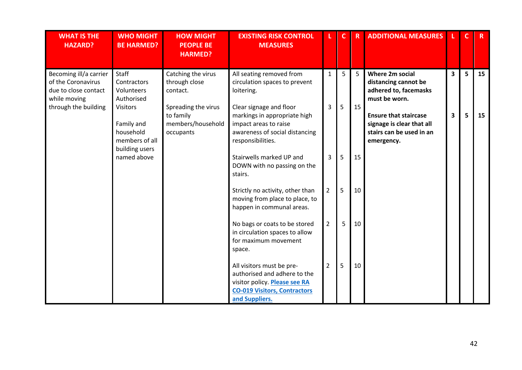| <b>WHAT IS THE</b><br><b>HAZARD?</b>                                                 | <b>WHO MIGHT</b><br><b>BE HARMED?</b>                                          | <b>HOW MIGHT</b><br><b>PEOPLE BE</b><br><b>HARMED?</b>             | <b>EXISTING RISK CONTROL</b><br><b>MEASURES</b>                                                                                                     |                | $\mathbf{C}$ | $\overline{\mathsf{R}}$ | <b>ADDITIONAL MEASURES</b>                                                                          |   | $\mathsf{C}$ | $R_{\parallel}$ |
|--------------------------------------------------------------------------------------|--------------------------------------------------------------------------------|--------------------------------------------------------------------|-----------------------------------------------------------------------------------------------------------------------------------------------------|----------------|--------------|-------------------------|-----------------------------------------------------------------------------------------------------|---|--------------|-----------------|
| Becoming ill/a carrier<br>of the Coronavirus<br>due to close contact<br>while moving | Staff<br>Contractors<br>Volunteers<br>Authorised                               | Catching the virus<br>through close<br>contact.                    | All seating removed from<br>circulation spaces to prevent<br>loitering.                                                                             | $\mathbf{1}$   | 5            | 5                       | <b>Where 2m social</b><br>distancing cannot be<br>adhered to, facemasks<br>must be worn.            | 3 | 5            | 15              |
| through the building                                                                 | <b>Visitors</b><br>Family and<br>household<br>members of all<br>building users | Spreading the virus<br>to family<br>members/household<br>occupants | Clear signage and floor<br>markings in appropriate high<br>impact areas to raise<br>awareness of social distancing<br>responsibilities.             | 3              | 5            | 15                      | <b>Ensure that staircase</b><br>signage is clear that all<br>stairs can be used in an<br>emergency. | 3 | 5            | 15              |
|                                                                                      | named above                                                                    |                                                                    | Stairwells marked UP and<br>DOWN with no passing on the<br>stairs.                                                                                  | 3              | 5            | 15                      |                                                                                                     |   |              |                 |
|                                                                                      |                                                                                |                                                                    | Strictly no activity, other than<br>moving from place to place, to<br>happen in communal areas.                                                     | $\overline{2}$ | 5            | 10                      |                                                                                                     |   |              |                 |
|                                                                                      |                                                                                |                                                                    | No bags or coats to be stored<br>in circulation spaces to allow<br>for maximum movement<br>space.                                                   | $\overline{2}$ | 5            | 10                      |                                                                                                     |   |              |                 |
|                                                                                      |                                                                                |                                                                    | All visitors must be pre-<br>authorised and adhere to the<br>visitor policy. Please see RA<br><b>CO-019 Visitors, Contractors</b><br>and Suppliers. | $\overline{2}$ | 5            | 10                      |                                                                                                     |   |              |                 |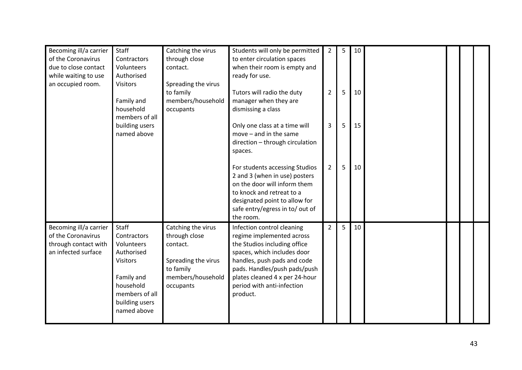| Becoming ill/a carrier | Staff           | Catching the virus  | Students will only be permitted | $\overline{2}$ | 5 | 10 |  |  |
|------------------------|-----------------|---------------------|---------------------------------|----------------|---|----|--|--|
| of the Coronavirus     | Contractors     | through close       | to enter circulation spaces     |                |   |    |  |  |
| due to close contact   | Volunteers      | contact.            | when their room is empty and    |                |   |    |  |  |
| while waiting to use   | Authorised      |                     | ready for use.                  |                |   |    |  |  |
| an occupied room.      | <b>Visitors</b> | Spreading the virus |                                 |                |   |    |  |  |
|                        |                 | to family           | Tutors will radio the duty      | $\overline{2}$ | 5 | 10 |  |  |
|                        | Family and      | members/household   | manager when they are           |                |   |    |  |  |
|                        | household       | occupants           | dismissing a class              |                |   |    |  |  |
|                        | members of all  |                     |                                 |                |   |    |  |  |
|                        | building users  |                     | Only one class at a time will   | 3              | 5 | 15 |  |  |
|                        | named above     |                     | $move - and in the same$        |                |   |    |  |  |
|                        |                 |                     | direction - through circulation |                |   |    |  |  |
|                        |                 |                     | spaces.                         |                |   |    |  |  |
|                        |                 |                     |                                 |                |   |    |  |  |
|                        |                 |                     | For students accessing Studios  | $\overline{2}$ | 5 | 10 |  |  |
|                        |                 |                     | 2 and 3 (when in use) posters   |                |   |    |  |  |
|                        |                 |                     | on the door will inform them    |                |   |    |  |  |
|                        |                 |                     | to knock and retreat to a       |                |   |    |  |  |
|                        |                 |                     | designated point to allow for   |                |   |    |  |  |
|                        |                 |                     | safe entry/egress in to/ out of |                |   |    |  |  |
|                        |                 |                     | the room.                       |                |   |    |  |  |
| Becoming ill/a carrier | Staff           | Catching the virus  | Infection control cleaning      | $2^{\circ}$    | 5 | 10 |  |  |
| of the Coronavirus     | Contractors     | through close       | regime implemented across       |                |   |    |  |  |
| through contact with   | Volunteers      | contact.            | the Studios including office    |                |   |    |  |  |
| an infected surface    | Authorised      |                     | spaces, which includes door     |                |   |    |  |  |
|                        | <b>Visitors</b> | Spreading the virus | handles, push pads and code     |                |   |    |  |  |
|                        |                 | to family           | pads. Handles/push pads/push    |                |   |    |  |  |
|                        | Family and      | members/household   | plates cleaned 4 x per 24-hour  |                |   |    |  |  |
|                        | household       | occupants           | period with anti-infection      |                |   |    |  |  |
|                        | members of all  |                     | product.                        |                |   |    |  |  |
|                        | building users  |                     |                                 |                |   |    |  |  |
|                        | named above     |                     |                                 |                |   |    |  |  |
|                        |                 |                     |                                 |                |   |    |  |  |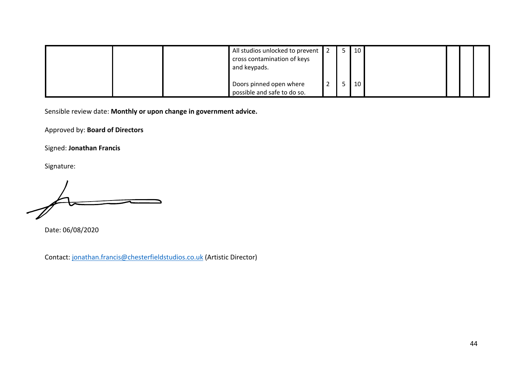| All studios unlocked to prevent<br>cross contamination of keys<br>and keypads. | 5 | 10 |  |  |
|--------------------------------------------------------------------------------|---|----|--|--|
| Doors pinned open where<br>possible and safe to do so.                         |   | 10 |  |  |

Approved by: **Board of Directors**

Signed: **Jonathan Francis**

Signature:

Date: 06/08/2020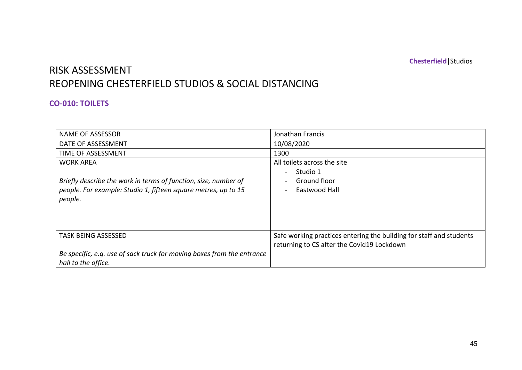# RISK ASSESSMENT REOPENING CHESTERFIELD STUDIOS & SOCIAL DISTANCING

#### **CO-010: TOILETS**

| <b>NAME OF ASSESSOR</b>                                                | Jonathan Francis                                                    |
|------------------------------------------------------------------------|---------------------------------------------------------------------|
| DATE OF ASSESSMENT                                                     | 10/08/2020                                                          |
| TIME OF ASSESSMENT                                                     | 1300                                                                |
| <b>WORK AREA</b>                                                       | All toilets across the site                                         |
|                                                                        | Studio 1                                                            |
| Briefly describe the work in terms of function, size, number of        | Ground floor                                                        |
| people. For example: Studio 1, fifteen square metres, up to 15         | Eastwood Hall                                                       |
| people.                                                                |                                                                     |
|                                                                        |                                                                     |
|                                                                        |                                                                     |
|                                                                        |                                                                     |
| <b>TASK BEING ASSESSED</b>                                             | Safe working practices entering the building for staff and students |
|                                                                        | returning to CS after the Covid19 Lockdown                          |
| Be specific, e.g. use of sack truck for moving boxes from the entrance |                                                                     |
| hall to the office.                                                    |                                                                     |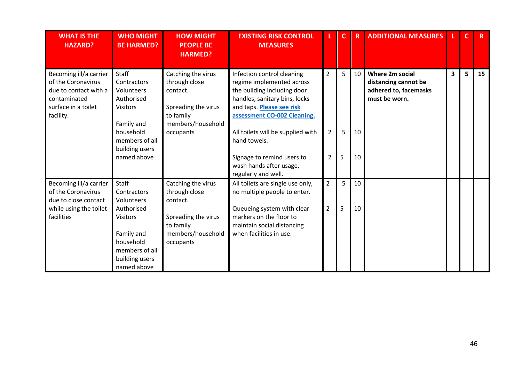| <b>WHAT IS THE</b><br><b>HAZARD?</b>                                                                                      | <b>WHO MIGHT</b><br><b>BE HARMED?</b>                                                                                                             | <b>HOW MIGHT</b><br><b>PEOPLE BE</b><br><b>HARMED?</b>                                                                | <b>EXISTING RISK CONTROL</b><br><b>MEASURES</b>                                                                                                                                                                                                                                                                          |                                                    | C.          | R              | <b>ADDITIONAL MEASURES</b>                                                               |   |   | R. |
|---------------------------------------------------------------------------------------------------------------------------|---------------------------------------------------------------------------------------------------------------------------------------------------|-----------------------------------------------------------------------------------------------------------------------|--------------------------------------------------------------------------------------------------------------------------------------------------------------------------------------------------------------------------------------------------------------------------------------------------------------------------|----------------------------------------------------|-------------|----------------|------------------------------------------------------------------------------------------|---|---|----|
| Becoming ill/a carrier<br>of the Coronavirus<br>due to contact with a<br>contaminated<br>surface in a toilet<br>facility. | Staff<br>Contractors<br>Volunteers<br>Authorised<br><b>Visitors</b><br>Family and<br>household<br>members of all<br>building users<br>named above | Catching the virus<br>through close<br>contact.<br>Spreading the virus<br>to family<br>members/household<br>occupants | Infection control cleaning<br>regime implemented across<br>the building including door<br>handles, sanitary bins, locks<br>and taps. Please see risk<br>assessment CO-002 Cleaning.<br>All toilets will be supplied with<br>hand towels.<br>Signage to remind users to<br>wash hands after usage,<br>regularly and well. | $\overline{2}$<br>$\overline{2}$<br>$\overline{2}$ | 5<br>5<br>5 | 10<br>10<br>10 | <b>Where 2m social</b><br>distancing cannot be<br>adhered to, facemasks<br>must be worn. | 3 | 5 | 15 |
| Becoming ill/a carrier<br>of the Coronavirus<br>due to close contact<br>while using the toilet<br>facilities              | Staff<br>Contractors<br>Volunteers<br>Authorised<br><b>Visitors</b><br>Family and<br>household<br>members of all<br>building users<br>named above | Catching the virus<br>through close<br>contact.<br>Spreading the virus<br>to family<br>members/household<br>occupants | All toilets are single use only,<br>no multiple people to enter.<br>Queueing system with clear<br>markers on the floor to<br>maintain social distancing<br>when facilities in use.                                                                                                                                       | $\overline{2}$<br>$\overline{2}$                   | 5<br>5      | 10<br>10       |                                                                                          |   |   |    |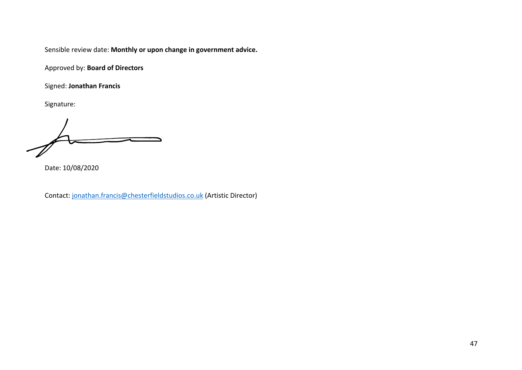Approved by: **Board of Directors**

Signed: **Jonathan Francis**

Signature:

Date: 10/08/2020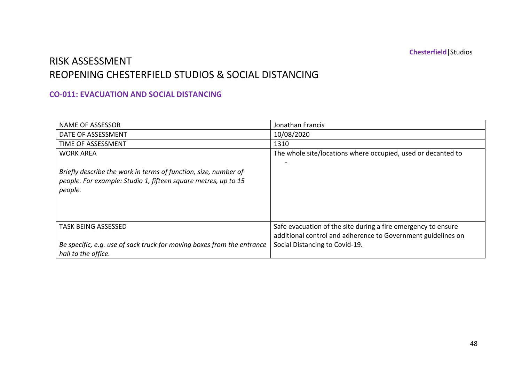### RISK ASSESSMENT REOPENING CHESTERFIELD STUDIOS & SOCIAL DISTANCING

#### **CO-011: EVACUATION AND SOCIAL DISTANCING**

| <b>NAME OF ASSESSOR</b>                                                                                                                      | Jonathan Francis                                                                                                              |
|----------------------------------------------------------------------------------------------------------------------------------------------|-------------------------------------------------------------------------------------------------------------------------------|
| DATE OF ASSESSMENT                                                                                                                           | 10/08/2020                                                                                                                    |
| TIME OF ASSESSMENT                                                                                                                           | 1310                                                                                                                          |
| <b>WORK AREA</b>                                                                                                                             | The whole site/locations where occupied, used or decanted to                                                                  |
| Briefly describe the work in terms of function, size, number of<br>people. For example: Studio 1, fifteen square metres, up to 15<br>people. |                                                                                                                               |
| <b>TASK BEING ASSESSED</b>                                                                                                                   | Safe evacuation of the site during a fire emergency to ensure<br>additional control and adherence to Government guidelines on |
| Be specific, e.g. use of sack truck for moving boxes from the entrance<br>hall to the office.                                                | Social Distancing to Covid-19.                                                                                                |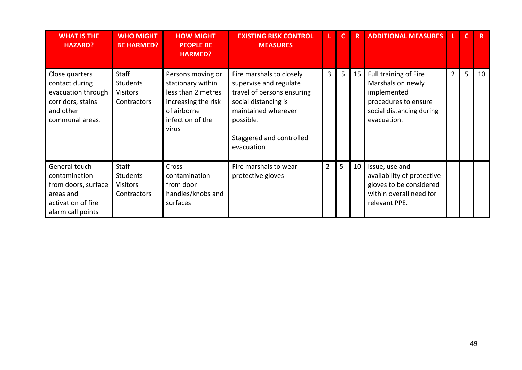| <b>WHAT IS THE</b><br><b>HAZARD?</b>                                                                          | <b>WHO MIGHT</b><br><b>BE HARMED?</b>                             | <b>HOW MIGHT</b><br><b>PEOPLE BE</b><br><b>HARMED?</b>                                                                          | <b>EXISTING RISK CONTROL</b><br><b>MEASURES</b>                                                                                                                                        | L.             | C              | R  | <b>ADDITIONAL MEASURES</b>                                                                                                   |                |    |    |
|---------------------------------------------------------------------------------------------------------------|-------------------------------------------------------------------|---------------------------------------------------------------------------------------------------------------------------------|----------------------------------------------------------------------------------------------------------------------------------------------------------------------------------------|----------------|----------------|----|------------------------------------------------------------------------------------------------------------------------------|----------------|----|----|
| Close quarters<br>contact during<br>evacuation through<br>corridors, stains<br>and other<br>communal areas.   | Staff<br><b>Students</b><br><b>Visitors</b><br>Contractors        | Persons moving or<br>stationary within<br>less than 2 metres<br>increasing the risk<br>of airborne<br>infection of the<br>virus | Fire marshals to closely<br>supervise and regulate<br>travel of persons ensuring<br>social distancing is<br>maintained wherever<br>possible.<br>Staggered and controlled<br>evacuation | 3 <sup>1</sup> | 5 <sup>1</sup> | 15 | Full training of Fire<br>Marshals on newly<br>implemented<br>procedures to ensure<br>social distancing during<br>evacuation. | $\overline{2}$ | 5. | 10 |
| General touch<br>contamination<br>from doors, surface<br>areas and<br>activation of fire<br>alarm call points | <b>Staff</b><br><b>Students</b><br><b>Visitors</b><br>Contractors | Cross<br>contamination<br>from door<br>handles/knobs and<br>surfaces                                                            | Fire marshals to wear<br>protective gloves                                                                                                                                             | $\overline{2}$ | 5              | 10 | Issue, use and<br>availability of protective<br>gloves to be considered<br>within overall need for<br>relevant PPE.          |                |    |    |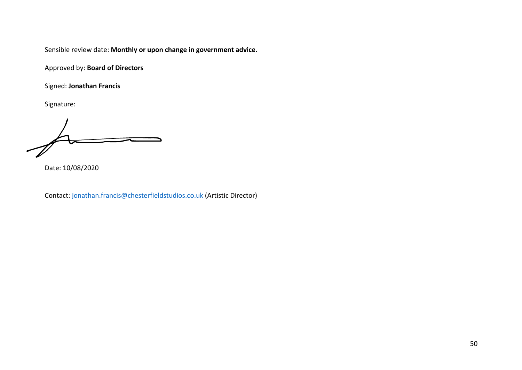Approved by: **Board of Directors**

Signed: **Jonathan Francis**

Signature:

Date: 10/08/2020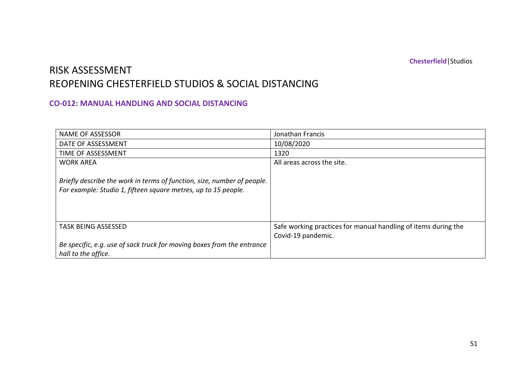### RISK ASSESSMENT REOPENING CHESTERFIELD STUDIOS & SOCIAL DISTANCING

#### **CO-012: MANUAL HANDLING AND SOCIAL DISTANCING**

| <b>NAME OF ASSESSOR</b>                                                                                                                   | Jonathan Francis                                                                     |
|-------------------------------------------------------------------------------------------------------------------------------------------|--------------------------------------------------------------------------------------|
| DATE OF ASSESSMENT                                                                                                                        | 10/08/2020                                                                           |
| TIME OF ASSESSMENT                                                                                                                        | 1320                                                                                 |
| <b>WORK AREA</b>                                                                                                                          | All areas across the site.                                                           |
| Briefly describe the work in terms of function, size, number of people.<br>For example: Studio 1, fifteen square metres, up to 15 people. |                                                                                      |
| <b>TASK BEING ASSESSED</b>                                                                                                                | Safe working practices for manual handling of items during the<br>Covid-19 pandemic. |
| Be specific, e.g. use of sack truck for moving boxes from the entrance<br>hall to the office.                                             |                                                                                      |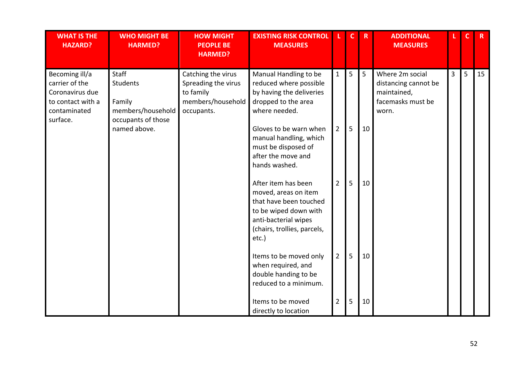| <b>WHAT IS THE</b><br><b>HAZARD?</b>                                                                 | <b>WHO MIGHT BE</b><br><b>HARMED?</b>                                                  | <b>HOW MIGHT</b><br><b>PEOPLE BE</b><br><b>HARMED?</b>                                    | <b>EXISTING RISK CONTROL</b><br><b>MEASURES</b>                                                                                                                                                                                       |                                  | $\mathbf{C}$ | $\mathsf{R}$          | <b>ADDITIONAL</b><br><b>MEASURES</b>                                                 | L.             | $\mathsf{C}$ | $\mathbf R$ |
|------------------------------------------------------------------------------------------------------|----------------------------------------------------------------------------------------|-------------------------------------------------------------------------------------------|---------------------------------------------------------------------------------------------------------------------------------------------------------------------------------------------------------------------------------------|----------------------------------|--------------|-----------------------|--------------------------------------------------------------------------------------|----------------|--------------|-------------|
| Becoming ill/a<br>carrier of the<br>Coronavirus due<br>to contact with a<br>contaminated<br>surface. | Staff<br>Students<br>Family<br>members/household<br>occupants of those<br>named above. | Catching the virus<br>Spreading the virus<br>to family<br>members/household<br>occupants. | Manual Handling to be<br>reduced where possible<br>by having the deliveries<br>dropped to the area<br>where needed.<br>Gloves to be warn when<br>manual handling, which<br>must be disposed of<br>after the move and<br>hands washed. | $\mathbf{1}$<br>$\overline{2}$   | 5<br>5       | $5\overline{)}$<br>10 | Where 2m social<br>distancing cannot be<br>maintained,<br>facemasks must be<br>worn. | $\overline{3}$ | 5            | 15          |
|                                                                                                      |                                                                                        |                                                                                           | After item has been<br>moved, areas on item<br>that have been touched<br>to be wiped down with<br>anti-bacterial wipes<br>(chairs, trollies, parcels,<br>etc.)                                                                        | $\overline{2}$                   | 5            | 10                    |                                                                                      |                |              |             |
|                                                                                                      |                                                                                        |                                                                                           | Items to be moved only<br>when required, and<br>double handing to be<br>reduced to a minimum.<br>Items to be moved<br>directly to location                                                                                            | $\overline{2}$<br>$\overline{2}$ | 5<br>5       | 10<br>10              |                                                                                      |                |              |             |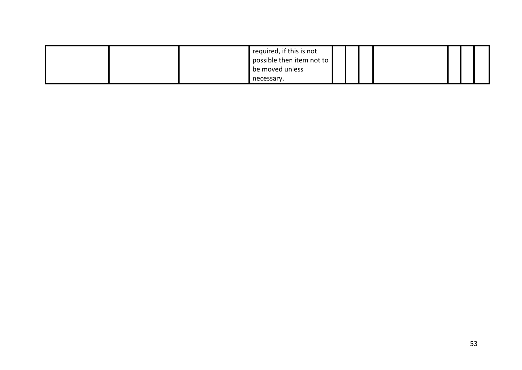|  | required, if this is not<br>possible then item not to |  |  |  |  |
|--|-------------------------------------------------------|--|--|--|--|
|  | be moved unless                                       |  |  |  |  |
|  | necessary.                                            |  |  |  |  |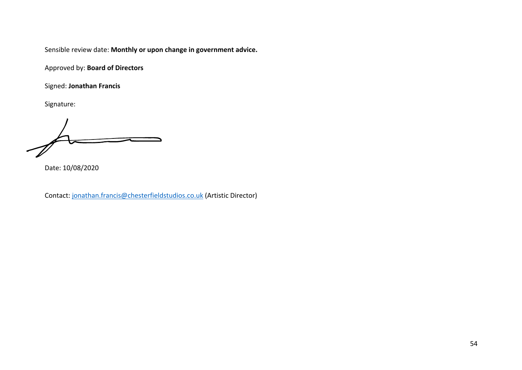Approved by: **Board of Directors**

Signed: **Jonathan Francis**

Signature:

Date: 10/08/2020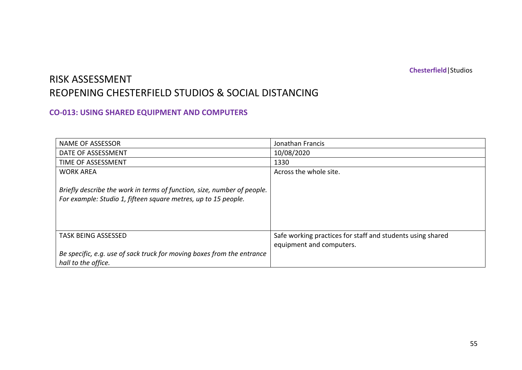### RISK ASSESSMENT REOPENING CHESTERFIELD STUDIOS & SOCIAL DISTANCING

#### **CO-013: USING SHARED EQUIPMENT AND COMPUTERS**

| <b>NAME OF ASSESSOR</b>                                                                                                                   | Jonathan Francis                                                                       |
|-------------------------------------------------------------------------------------------------------------------------------------------|----------------------------------------------------------------------------------------|
| DATE OF ASSESSMENT                                                                                                                        | 10/08/2020                                                                             |
| TIME OF ASSESSMENT                                                                                                                        | 1330                                                                                   |
| <b>WORK AREA</b>                                                                                                                          | Across the whole site.                                                                 |
| Briefly describe the work in terms of function, size, number of people.<br>For example: Studio 1, fifteen square metres, up to 15 people. |                                                                                        |
| <b>TASK BEING ASSESSED</b>                                                                                                                | Safe working practices for staff and students using shared<br>equipment and computers. |
| Be specific, e.g. use of sack truck for moving boxes from the entrance<br>hall to the office.                                             |                                                                                        |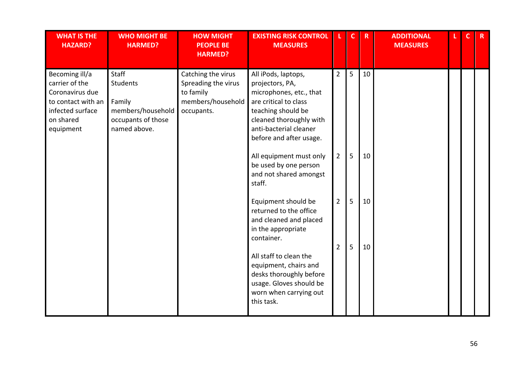| <b>WHAT IS THE</b><br><b>HAZARD?</b>                                                                                    | <b>WHO MIGHT BE</b><br><b>HARMED?</b>                                                         | <b>HOW MIGHT</b><br><b>PEOPLE BE</b><br><b>HARMED?</b>                                    | <b>EXISTING RISK CONTROL</b><br><b>MEASURES</b>                                                                                                                                                                                                              |                                  | $\mathbf{C}$ | $\mathbf R$ | <b>ADDITIONAL</b><br><b>MEASURES</b> | $\mathbf{C}$ | $\mathbf{R}$ |
|-------------------------------------------------------------------------------------------------------------------------|-----------------------------------------------------------------------------------------------|-------------------------------------------------------------------------------------------|--------------------------------------------------------------------------------------------------------------------------------------------------------------------------------------------------------------------------------------------------------------|----------------------------------|--------------|-------------|--------------------------------------|--------------|--------------|
| Becoming ill/a<br>carrier of the<br>Coronavirus due<br>to contact with an<br>infected surface<br>on shared<br>equipment | Staff<br><b>Students</b><br>Family<br>members/household<br>occupants of those<br>named above. | Catching the virus<br>Spreading the virus<br>to family<br>members/household<br>occupants. | All iPods, laptops,<br>projectors, PA,<br>microphones, etc., that<br>are critical to class<br>teaching should be<br>cleaned thoroughly with<br>anti-bacterial cleaner<br>before and after usage.                                                             | $\overline{2}$                   | 5            | 10          |                                      |              |              |
|                                                                                                                         |                                                                                               |                                                                                           | All equipment must only<br>be used by one person<br>and not shared amongst<br>staff.                                                                                                                                                                         | $\overline{2}$                   | 5            | 10          |                                      |              |              |
|                                                                                                                         |                                                                                               |                                                                                           | Equipment should be<br>returned to the office<br>and cleaned and placed<br>in the appropriate<br>container.<br>All staff to clean the<br>equipment, chairs and<br>desks thoroughly before<br>usage. Gloves should be<br>worn when carrying out<br>this task. | $\overline{2}$<br>$\overline{2}$ | 5<br>5       | 10<br>10    |                                      |              |              |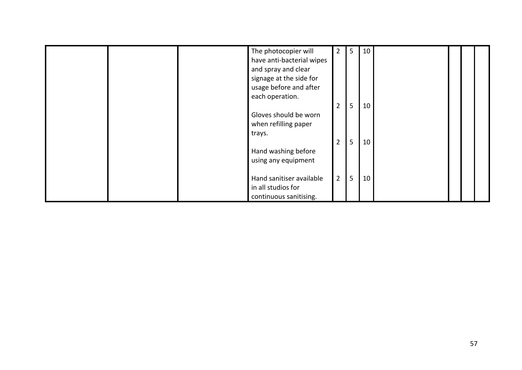|  | The photocopier will      | $\overline{2}$ | 5 | 10 |  |  |
|--|---------------------------|----------------|---|----|--|--|
|  | have anti-bacterial wipes |                |   |    |  |  |
|  | and spray and clear       |                |   |    |  |  |
|  | signage at the side for   |                |   |    |  |  |
|  | usage before and after    |                |   |    |  |  |
|  | each operation.           |                |   |    |  |  |
|  |                           | $\overline{2}$ | 5 | 10 |  |  |
|  | Gloves should be worn     |                |   |    |  |  |
|  | when refilling paper      |                |   |    |  |  |
|  | trays.                    |                |   |    |  |  |
|  |                           | $\overline{2}$ | 5 | 10 |  |  |
|  | Hand washing before       |                |   |    |  |  |
|  | using any equipment       |                |   |    |  |  |
|  |                           |                |   |    |  |  |
|  | Hand sanitiser available  | $2^{\circ}$    | 5 | 10 |  |  |
|  | in all studios for        |                |   |    |  |  |
|  | continuous sanitising.    |                |   |    |  |  |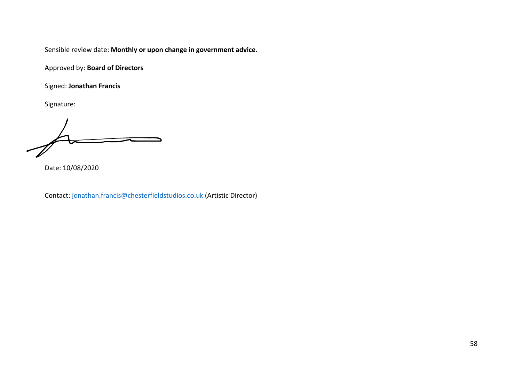Approved by: **Board of Directors**

Signed: **Jonathan Francis**

Signature:

Date: 10/08/2020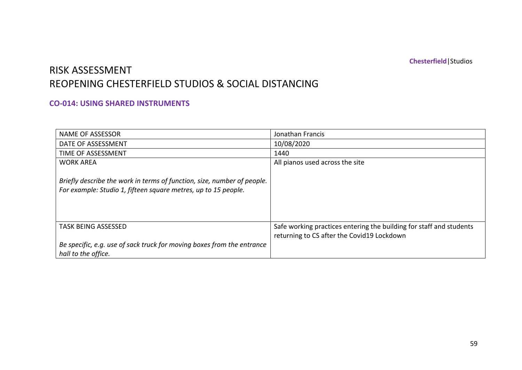## RISK ASSESSMENT REOPENING CHESTERFIELD STUDIOS & SOCIAL DISTANCING

#### **CO-014: USING SHARED INSTRUMENTS**

| <b>NAME OF ASSESSOR</b>                                                                                                                   | Jonathan Francis                                                                                                  |
|-------------------------------------------------------------------------------------------------------------------------------------------|-------------------------------------------------------------------------------------------------------------------|
| DATE OF ASSESSMENT                                                                                                                        | 10/08/2020                                                                                                        |
| TIME OF ASSESSMENT                                                                                                                        | 1440                                                                                                              |
| <b>WORK AREA</b>                                                                                                                          | All pianos used across the site                                                                                   |
| Briefly describe the work in terms of function, size, number of people.<br>For example: Studio 1, fifteen square metres, up to 15 people. |                                                                                                                   |
| <b>TASK BEING ASSESSED</b>                                                                                                                | Safe working practices entering the building for staff and students<br>returning to CS after the Covid19 Lockdown |
| Be specific, e.g. use of sack truck for moving boxes from the entrance<br>hall to the office.                                             |                                                                                                                   |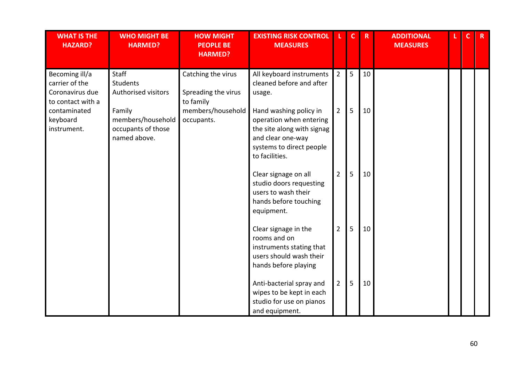| <b>WHAT IS THE</b><br><b>HAZARD?</b>                                                                 | <b>WHO MIGHT BE</b><br><b>HARMED?</b>                                          | <b>HOW MIGHT</b><br><b>PEOPLE BE</b><br><b>HARMED?</b>                                    | <b>EXISTING RISK CONTROL</b><br><b>MEASURES</b>                                                                     |                                  | $\mathbf C$ | $\mathbf R$ | <b>ADDITIONAL</b><br><b>MEASURES</b> | $\mathbf C$ | $\mathbf{R}$ |
|------------------------------------------------------------------------------------------------------|--------------------------------------------------------------------------------|-------------------------------------------------------------------------------------------|---------------------------------------------------------------------------------------------------------------------|----------------------------------|-------------|-------------|--------------------------------------|-------------|--------------|
| Becoming ill/a<br>carrier of the<br>Coronavirus due<br>to contact with a<br>contaminated<br>keyboard | Staff<br><b>Students</b><br>Authorised visitors<br>Family<br>members/household | Catching the virus<br>Spreading the virus<br>to family<br>members/household<br>occupants. | All keyboard instruments<br>cleaned before and after<br>usage.<br>Hand washing policy in<br>operation when entering | $\overline{2}$<br>$\overline{2}$ | 5<br>5      | 10<br>10    |                                      |             |              |
| instrument.                                                                                          | occupants of those<br>named above.                                             |                                                                                           | the site along with signag<br>and clear one-way<br>systems to direct people<br>to facilities.                       |                                  |             |             |                                      |             |              |
|                                                                                                      |                                                                                |                                                                                           | Clear signage on all<br>studio doors requesting<br>users to wash their<br>hands before touching<br>equipment.       | $\overline{2}$                   | 5           | 10          |                                      |             |              |
|                                                                                                      |                                                                                |                                                                                           | Clear signage in the<br>rooms and on<br>instruments stating that<br>users should wash their<br>hands before playing | $\overline{2}$                   | 5           | 10          |                                      |             |              |
|                                                                                                      |                                                                                |                                                                                           | Anti-bacterial spray and<br>wipes to be kept in each<br>studio for use on pianos<br>and equipment.                  | $\overline{2}$                   | 5           | 10          |                                      |             |              |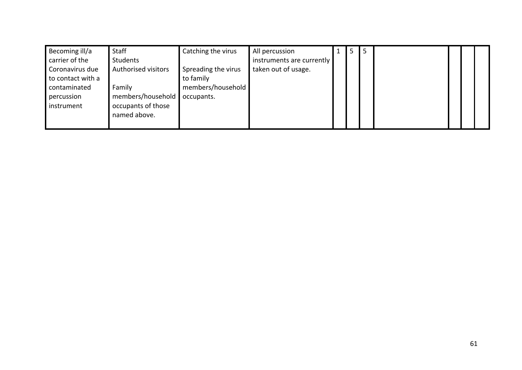| Becoming ill/a    | Staff               | Catching the virus  | All percussion            | د | ⊃ |  |  |
|-------------------|---------------------|---------------------|---------------------------|---|---|--|--|
| carrier of the    | Students            |                     | instruments are currently |   |   |  |  |
| Coronavirus due   | Authorised visitors | Spreading the virus | taken out of usage.       |   |   |  |  |
| to contact with a |                     | to family           |                           |   |   |  |  |
| contaminated      | Family              | members/household   |                           |   |   |  |  |
| percussion        | members/household   | occupants.          |                           |   |   |  |  |
| instrument        | occupants of those  |                     |                           |   |   |  |  |
|                   | named above.        |                     |                           |   |   |  |  |
|                   |                     |                     |                           |   |   |  |  |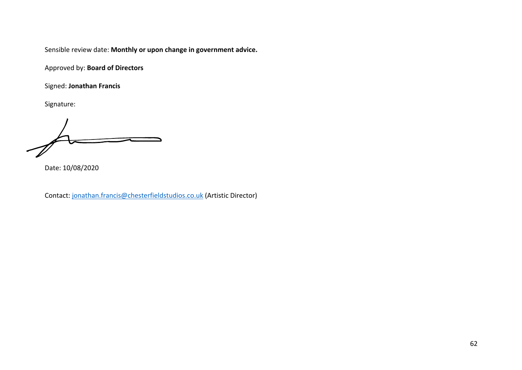Approved by: **Board of Directors**

Signed: **Jonathan Francis**

Signature:

Date: 10/08/2020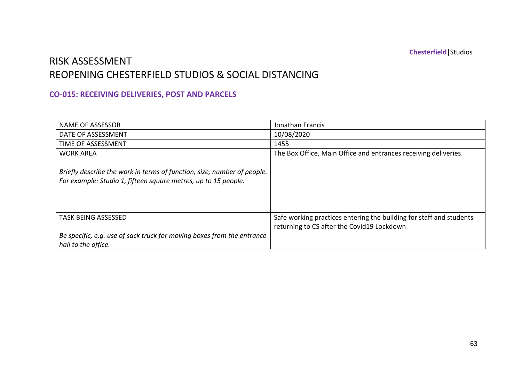### RISK ASSESSMENT REOPENING CHESTERFIELD STUDIOS & SOCIAL DISTANCING

#### **CO-015: RECEIVING DELIVERIES, POST AND PARCELS**

| <b>NAME OF ASSESSOR</b>                                                                                                                   | Jonathan Francis                                                                                                  |
|-------------------------------------------------------------------------------------------------------------------------------------------|-------------------------------------------------------------------------------------------------------------------|
| DATE OF ASSESSMENT                                                                                                                        | 10/08/2020                                                                                                        |
| TIME OF ASSESSMENT                                                                                                                        | 1455                                                                                                              |
| <b>WORK AREA</b>                                                                                                                          | The Box Office, Main Office and entrances receiving deliveries.                                                   |
| Briefly describe the work in terms of function, size, number of people.<br>For example: Studio 1, fifteen square metres, up to 15 people. |                                                                                                                   |
| <b>TASK BEING ASSESSED</b>                                                                                                                | Safe working practices entering the building for staff and students<br>returning to CS after the Covid19 Lockdown |
| Be specific, e.g. use of sack truck for moving boxes from the entrance<br>hall to the office.                                             |                                                                                                                   |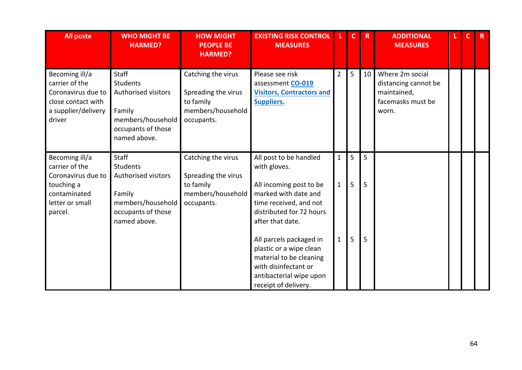| <b>All poste</b>                                                                                                   | <b>WHO MIGHT BE</b><br><b>HARMED?</b>                                                                                       | <b>HOW MIGHT</b><br><b>PEOPLE BE</b><br><b>HARMED?</b>                                    | <b>EXISTING RISK CONTROL</b><br><b>MEASURES</b>                                                                                                                     |                              |        | $\mathbf R$ | <b>ADDITIONAL</b><br><b>MEASURES</b>                                                 | $\mathsf{C}$ | $\mathbf R$ |
|--------------------------------------------------------------------------------------------------------------------|-----------------------------------------------------------------------------------------------------------------------------|-------------------------------------------------------------------------------------------|---------------------------------------------------------------------------------------------------------------------------------------------------------------------|------------------------------|--------|-------------|--------------------------------------------------------------------------------------|--------------|-------------|
| Becoming ill/a<br>carrier of the<br>Coronavirus due to<br>close contact with<br>a supplier/delivery<br>driver      | <b>Staff</b><br>Students<br><b>Authorised visitors</b><br>Family<br>members/household<br>occupants of those<br>named above. | Catching the virus<br>Spreading the virus<br>to family<br>members/household<br>occupants. | Please see risk<br>assessment CO-019<br><b>Visitors, Contractors and</b><br><b>Suppliers.</b>                                                                       | $\overline{2}$               | 5      | 10          | Where 2m social<br>distancing cannot be<br>maintained,<br>facemasks must be<br>worn. |              |             |
| Becoming ill/a<br>carrier of the<br>Coronavirus due to<br>touching a<br>contaminated<br>letter or small<br>parcel. | <b>Staff</b><br>Students<br><b>Authorised visitors</b><br>Family<br>members/household<br>occupants of those<br>named above. | Catching the virus<br>Spreading the virus<br>to family<br>members/household<br>occupants. | All post to be handled<br>with gloves.<br>All incoming post to be<br>marked with date and<br>time received, and not<br>distributed for 72 hours<br>after that date. | $\mathbf{1}$<br>$\mathbf{1}$ | 5<br>5 | 5<br>5      |                                                                                      |              |             |
|                                                                                                                    |                                                                                                                             |                                                                                           | All parcels packaged in<br>plastic or a wipe clean<br>material to be cleaning<br>with disinfectant or<br>antibacterial wipe upon<br>receipt of delivery.            | $\mathbf{1}$                 | 5      | 5           |                                                                                      |              |             |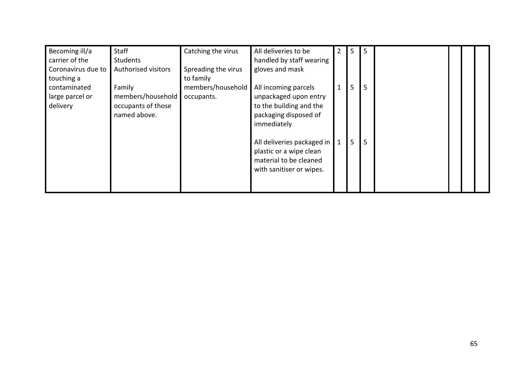| Becoming ill/a     | Staff               | Catching the virus  | All deliveries to be       | 2            | 5 | 5 |  |  |
|--------------------|---------------------|---------------------|----------------------------|--------------|---|---|--|--|
| carrier of the     | <b>Students</b>     |                     | handled by staff wearing   |              |   |   |  |  |
| Coronavirus due to | Authorised visitors | Spreading the virus | gloves and mask            |              |   |   |  |  |
| touching a         |                     | to family           |                            |              |   |   |  |  |
| contaminated       | Family              | members/household   | All incoming parcels       | $\mathbf{1}$ | 5 | 5 |  |  |
| large parcel or    | members/household   | occupants.          | unpackaged upon entry      |              |   |   |  |  |
| delivery           | occupants of those  |                     | to the building and the    |              |   |   |  |  |
|                    | named above.        |                     | packaging disposed of      |              |   |   |  |  |
|                    |                     |                     | immediately                |              |   |   |  |  |
|                    |                     |                     |                            |              |   |   |  |  |
|                    |                     |                     | All deliveries packaged in | $\mathbf{1}$ | 5 | 5 |  |  |
|                    |                     |                     | plastic or a wipe clean    |              |   |   |  |  |
|                    |                     |                     | material to be cleaned     |              |   |   |  |  |
|                    |                     |                     | with sanitiser or wipes.   |              |   |   |  |  |
|                    |                     |                     |                            |              |   |   |  |  |
|                    |                     |                     |                            |              |   |   |  |  |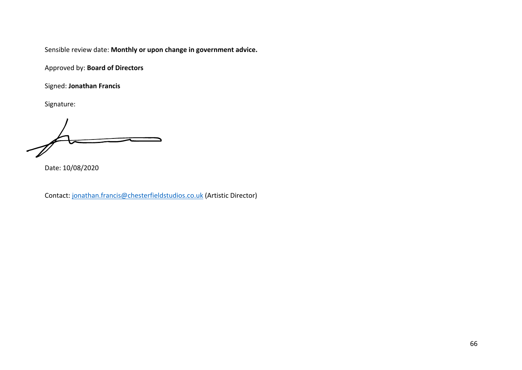Approved by: **Board of Directors**

Signed: **Jonathan Francis**

Signature:

Date: 10/08/2020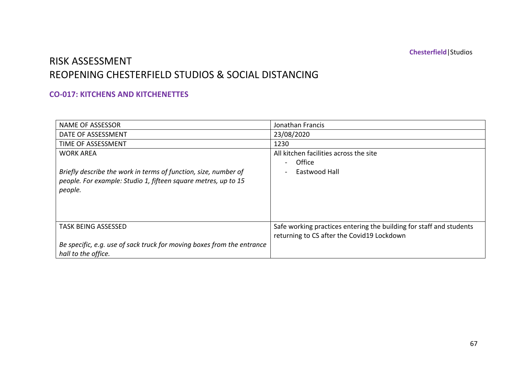### RISK ASSESSMENT REOPENING CHESTERFIELD STUDIOS & SOCIAL DISTANCING

#### **CO-017: KITCHENS AND KITCHENETTES**

| <b>NAME OF ASSESSOR</b>                                                | Jonathan Francis                                                    |
|------------------------------------------------------------------------|---------------------------------------------------------------------|
| DATE OF ASSESSMENT                                                     | 23/08/2020                                                          |
| TIME OF ASSESSMENT                                                     | 1230                                                                |
| <b>WORK AREA</b>                                                       | All kitchen facilities across the site                              |
|                                                                        | Office                                                              |
| Briefly describe the work in terms of function, size, number of        | Eastwood Hall                                                       |
| people. For example: Studio 1, fifteen square metres, up to 15         |                                                                     |
| people.                                                                |                                                                     |
|                                                                        |                                                                     |
|                                                                        |                                                                     |
|                                                                        |                                                                     |
| <b>TASK BEING ASSESSED</b>                                             | Safe working practices entering the building for staff and students |
|                                                                        | returning to CS after the Covid19 Lockdown                          |
| Be specific, e.g. use of sack truck for moving boxes from the entrance |                                                                     |
| hall to the office.                                                    |                                                                     |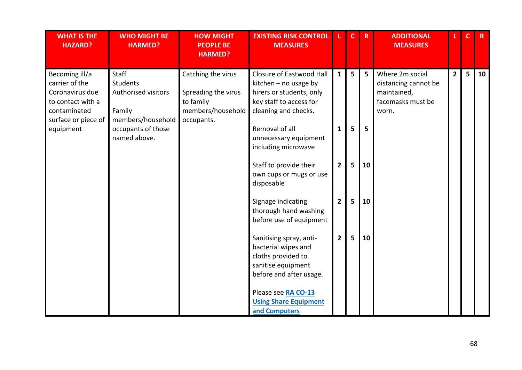| <b>WHAT IS THE</b><br><b>HAZARD?</b>                                                                            | <b>WHO MIGHT BE</b><br><b>HARMED?</b>                                          | <b>HOW MIGHT</b><br><b>PEOPLE BE</b><br><b>HARMED?</b>                                    | <b>EXISTING RISK CONTROL</b><br><b>MEASURES</b>                                                                                    |                | $\mathbf{C}$   | $\mathbf R$    | <b>ADDITIONAL</b><br><b>MEASURES</b>                                                 | L.          | $\mathsf{C}$ | R  |
|-----------------------------------------------------------------------------------------------------------------|--------------------------------------------------------------------------------|-------------------------------------------------------------------------------------------|------------------------------------------------------------------------------------------------------------------------------------|----------------|----------------|----------------|--------------------------------------------------------------------------------------|-------------|--------------|----|
| Becoming ill/a<br>carrier of the<br>Coronavirus due<br>to contact with a<br>contaminated<br>surface or piece of | Staff<br><b>Students</b><br>Authorised visitors<br>Family<br>members/household | Catching the virus<br>Spreading the virus<br>to family<br>members/household<br>occupants. | Closure of Eastwood Hall<br>kitchen $-$ no usage by<br>hirers or students, only<br>key staff to access for<br>cleaning and checks. | $\mathbf{1}$   | 5              | 5 <sup>5</sup> | Where 2m social<br>distancing cannot be<br>maintained,<br>facemasks must be<br>worn. | $2^{\circ}$ | 5            | 10 |
| equipment                                                                                                       | occupants of those<br>named above.                                             |                                                                                           | Removal of all<br>unnecessary equipment<br>including microwave                                                                     | $\mathbf{1}$   | 5              | 5              |                                                                                      |             |              |    |
|                                                                                                                 |                                                                                |                                                                                           | Staff to provide their<br>own cups or mugs or use<br>disposable                                                                    | $\overline{2}$ | 5              | 10             |                                                                                      |             |              |    |
|                                                                                                                 |                                                                                |                                                                                           | Signage indicating<br>thorough hand washing<br>before use of equipment                                                             | $\overline{2}$ | 5              | 10             |                                                                                      |             |              |    |
|                                                                                                                 |                                                                                |                                                                                           | Sanitising spray, anti-<br>bacterial wipes and<br>cloths provided to<br>sanitise equipment<br>before and after usage.              | $\overline{2}$ | $5\phantom{1}$ | 10             |                                                                                      |             |              |    |
|                                                                                                                 |                                                                                |                                                                                           | Please see RA CO-13<br><b>Using Share Equipment</b><br>and Computers                                                               |                |                |                |                                                                                      |             |              |    |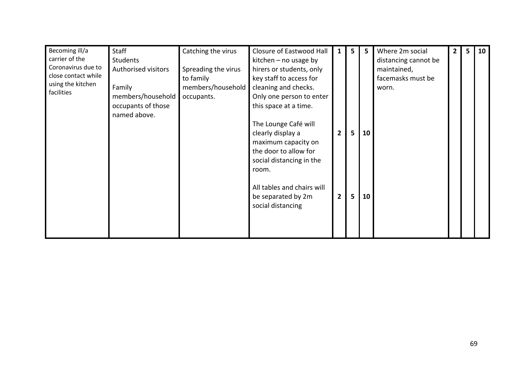| Becoming ill/a<br>carrier of the<br>Coronavirus due to<br>close contact while<br>using the kitchen | <b>Staff</b><br>Students<br><b>Authorised visitors</b>            | Catching the virus<br>Spreading the virus<br>to family | Closure of Eastwood Hall<br>kitchen $-$ no usage by<br>hirers or students, only<br>key staff to access for                                                                                                  | 1              | 5 <sup>1</sup> | 5  | Where 2m social<br>distancing cannot be<br>maintained,<br>facemasks must be | $\mathbf{2}$ | 5 | 10 |
|----------------------------------------------------------------------------------------------------|-------------------------------------------------------------------|--------------------------------------------------------|-------------------------------------------------------------------------------------------------------------------------------------------------------------------------------------------------------------|----------------|----------------|----|-----------------------------------------------------------------------------|--------------|---|----|
| facilities                                                                                         | Family<br>members/household<br>occupants of those<br>named above. | members/household<br>occupants.                        | cleaning and checks.<br>Only one person to enter<br>this space at a time.<br>The Lounge Café will<br>clearly display a<br>maximum capacity on<br>the door to allow for<br>social distancing in the<br>room. | $\overline{2}$ | 5              | 10 | worn.                                                                       |              |   |    |
|                                                                                                    |                                                                   |                                                        | All tables and chairs will<br>be separated by 2m<br>social distancing                                                                                                                                       | $\overline{2}$ | 5              | 10 |                                                                             |              |   |    |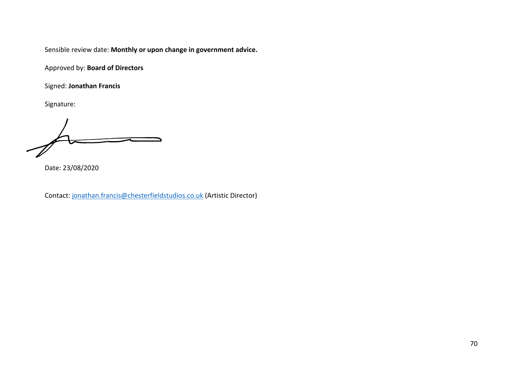Approved by: **Board of Directors**

Signed: **Jonathan Francis**

Signature:

Date: 23/08/2020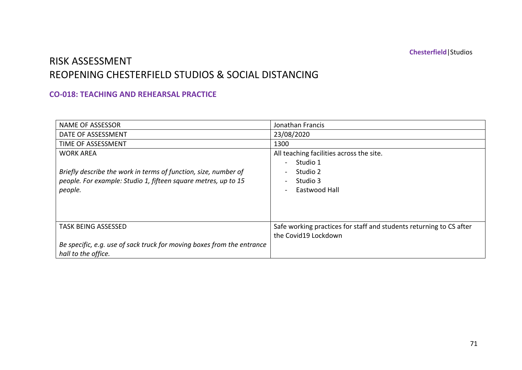### RISK ASSESSMENT REOPENING CHESTERFIELD STUDIOS & SOCIAL DISTANCING

#### **CO-018: TEACHING AND REHEARSAL PRACTICE**

| <b>NAME OF ASSESSOR</b>                                                | Jonathan Francis                                                    |
|------------------------------------------------------------------------|---------------------------------------------------------------------|
| DATE OF ASSESSMENT                                                     | 23/08/2020                                                          |
| TIME OF ASSESSMENT                                                     | 1300                                                                |
| <b>WORK AREA</b>                                                       | All teaching facilities across the site.                            |
|                                                                        | Studio 1                                                            |
| Briefly describe the work in terms of function, size, number of        | Studio 2                                                            |
| people. For example: Studio 1, fifteen square metres, up to 15         | Studio 3                                                            |
| people.                                                                | Eastwood Hall                                                       |
|                                                                        |                                                                     |
|                                                                        |                                                                     |
|                                                                        |                                                                     |
| <b>TASK BEING ASSESSED</b>                                             | Safe working practices for staff and students returning to CS after |
|                                                                        | the Covid19 Lockdown                                                |
| Be specific, e.g. use of sack truck for moving boxes from the entrance |                                                                     |
| hall to the office.                                                    |                                                                     |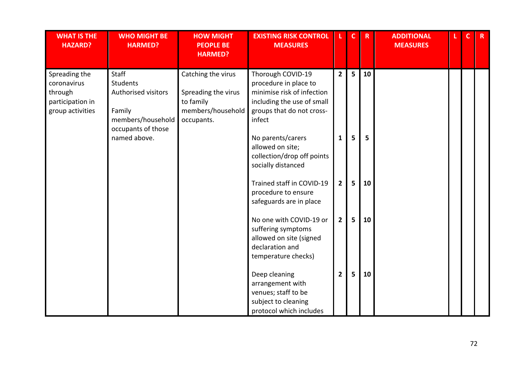| <b>WHAT IS THE</b><br><b>HAZARD?</b>                                            | <b>WHO MIGHT BE</b><br><b>HARMED?</b>                                                                | <b>HOW MIGHT</b><br><b>PEOPLE BE</b><br><b>HARMED?</b>                                    | <b>EXISTING RISK CONTROL</b><br><b>MEASURES</b>                                                                                               |                | C | R  | <b>ADDITIONAL</b><br><b>MEASURES</b> | C. | $\mathbf{R}$ |
|---------------------------------------------------------------------------------|------------------------------------------------------------------------------------------------------|-------------------------------------------------------------------------------------------|-----------------------------------------------------------------------------------------------------------------------------------------------|----------------|---|----|--------------------------------------|----|--------------|
| Spreading the<br>coronavirus<br>through<br>participation in<br>group activities | Staff<br><b>Students</b><br>Authorised visitors<br>Family<br>members/household<br>occupants of those | Catching the virus<br>Spreading the virus<br>to family<br>members/household<br>occupants. | Thorough COVID-19<br>procedure in place to<br>minimise risk of infection<br>including the use of small<br>groups that do not cross-<br>infect | $\overline{2}$ | 5 | 10 |                                      |    |              |
|                                                                                 | named above.                                                                                         |                                                                                           | No parents/carers<br>allowed on site;<br>collection/drop off points<br>socially distanced                                                     | 1              | 5 | 5  |                                      |    |              |
|                                                                                 |                                                                                                      |                                                                                           | Trained staff in COVID-19<br>procedure to ensure<br>safeguards are in place                                                                   | $\mathbf{2}$   | 5 | 10 |                                      |    |              |
|                                                                                 |                                                                                                      |                                                                                           | No one with COVID-19 or<br>suffering symptoms<br>allowed on site (signed<br>declaration and<br>temperature checks)                            | $\mathbf{2}$   | 5 | 10 |                                      |    |              |
|                                                                                 |                                                                                                      |                                                                                           | Deep cleaning<br>arrangement with<br>venues; staff to be<br>subject to cleaning<br>protocol which includes                                    | 2              | 5 | 10 |                                      |    |              |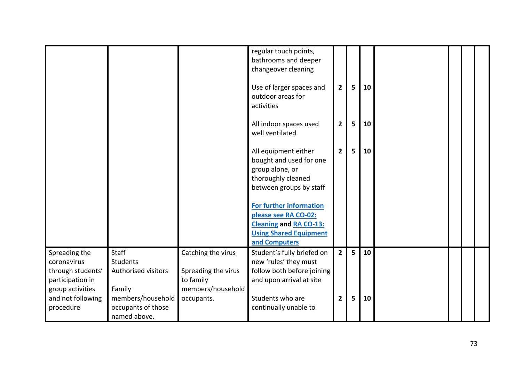|                                                                       |                                                                   |                                                        | regular touch points,<br>bathrooms and deeper<br>changeover cleaning                                                                                                                                           |                         |   |    |  |  |
|-----------------------------------------------------------------------|-------------------------------------------------------------------|--------------------------------------------------------|----------------------------------------------------------------------------------------------------------------------------------------------------------------------------------------------------------------|-------------------------|---|----|--|--|
|                                                                       |                                                                   |                                                        | Use of larger spaces and<br>outdoor areas for<br>activities                                                                                                                                                    | $\overline{\mathbf{2}}$ | 5 | 10 |  |  |
|                                                                       |                                                                   |                                                        | All indoor spaces used<br>well ventilated                                                                                                                                                                      | $\overline{2}$          | 5 | 10 |  |  |
|                                                                       |                                                                   |                                                        | All equipment either<br>bought and used for one<br>group alone, or<br>thoroughly cleaned<br>between groups by staff<br><b>For further information</b><br>please see RA CO-02:<br><b>Cleaning and RA CO-13:</b> | $\overline{2}$          | 5 | 10 |  |  |
|                                                                       |                                                                   |                                                        | <b>Using Shared Equipment</b><br>and Computers                                                                                                                                                                 |                         |   |    |  |  |
| Spreading the<br>coronavirus<br>through students'<br>participation in | <b>Staff</b><br>Students<br>Authorised visitors                   | Catching the virus<br>Spreading the virus<br>to family | Student's fully briefed on<br>new 'rules' they must<br>follow both before joining<br>and upon arrival at site                                                                                                  | $\overline{2}$          | 5 | 10 |  |  |
| group activities<br>and not following<br>procedure                    | Family<br>members/household<br>occupants of those<br>named above. | members/household<br>occupants.                        | Students who are<br>continually unable to                                                                                                                                                                      | $\overline{2}$          | 5 | 10 |  |  |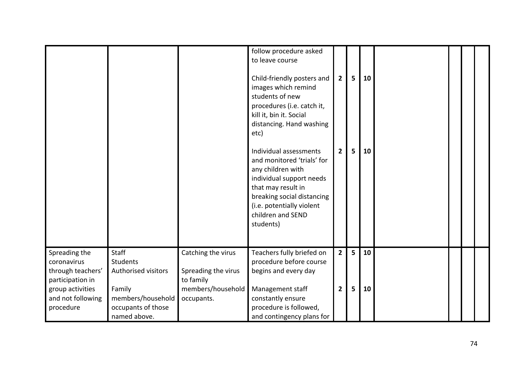|                                                                                                                             |                                                                                                                      |                                                                                           | follow procedure asked<br>to leave course<br>Child-friendly posters and<br>images which remind<br>students of new<br>procedures (i.e. catch it,<br>kill it, bin it. Social<br>distancing. Hand washing<br>etc)           | $\mathbf{2}$                     | 5      | 10       |  |  |
|-----------------------------------------------------------------------------------------------------------------------------|----------------------------------------------------------------------------------------------------------------------|-------------------------------------------------------------------------------------------|--------------------------------------------------------------------------------------------------------------------------------------------------------------------------------------------------------------------------|----------------------------------|--------|----------|--|--|
|                                                                                                                             |                                                                                                                      |                                                                                           | Individual assessments<br>and monitored 'trials' for<br>any children with<br>individual support needs<br>that may result in<br>breaking social distancing<br>(i.e. potentially violent<br>children and SEND<br>students) | $\overline{2}$                   | 5      | 10       |  |  |
| Spreading the<br>coronavirus<br>through teachers'<br>participation in<br>group activities<br>and not following<br>procedure | <b>Staff</b><br>Students<br>Authorised visitors<br>Family<br>members/household<br>occupants of those<br>named above. | Catching the virus<br>Spreading the virus<br>to family<br>members/household<br>occupants. | Teachers fully briefed on<br>procedure before course<br>begins and every day<br>Management staff<br>constantly ensure<br>procedure is followed,<br>and contingency plans for                                             | $\overline{2}$<br>$\overline{2}$ | 5<br>5 | 10<br>10 |  |  |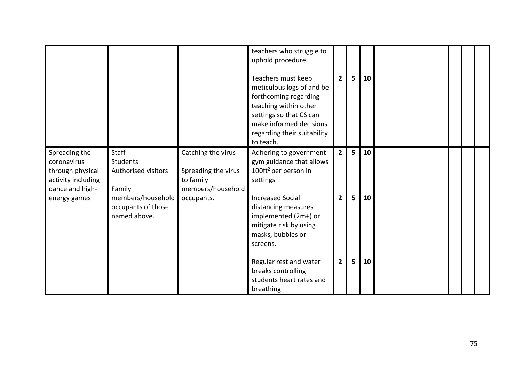|                                                                                                           |                                                                                                                      |                                                                                           | teachers who struggle to<br>uphold procedure.<br>Teachers must keep<br>meticulous logs of and be<br>forthcoming regarding<br>teaching within other<br>settings so that CS can<br>make informed decisions<br>regarding their suitability<br>to teach. | $\overline{2}$                   | 5      | 10       |  |  |
|-----------------------------------------------------------------------------------------------------------|----------------------------------------------------------------------------------------------------------------------|-------------------------------------------------------------------------------------------|------------------------------------------------------------------------------------------------------------------------------------------------------------------------------------------------------------------------------------------------------|----------------------------------|--------|----------|--|--|
| Spreading the<br>coronavirus<br>through physical<br>activity including<br>dance and high-<br>energy games | Staff<br><b>Students</b><br>Authorised visitors<br>Family<br>members/household<br>occupants of those<br>named above. | Catching the virus<br>Spreading the virus<br>to family<br>members/household<br>occupants. | Adhering to government<br>gym guidance that allows<br>100 $ft^2$ per person in<br>settings<br><b>Increased Social</b><br>distancing measures<br>implemented (2m+) or<br>mitigate risk by using<br>masks, bubbles or<br>screens.                      | $\overline{2}$<br>$\overline{2}$ | 5<br>5 | 10<br>10 |  |  |
|                                                                                                           |                                                                                                                      |                                                                                           | Regular rest and water<br>breaks controlling<br>students heart rates and<br>breathing                                                                                                                                                                | $\mathbf{2}$                     | 5      | 10       |  |  |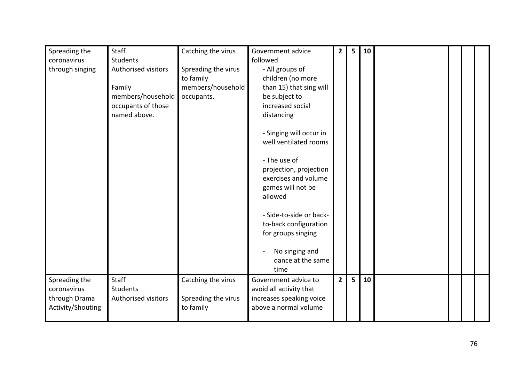| Spreading the<br>coronavirus<br>through singing                    | Staff<br>Students<br>Authorised visitors<br>Family<br>members/household<br>occupants of those<br>named above. | Catching the virus<br>Spreading the virus<br>to family<br>members/household<br>occupants. | Government advice<br>followed<br>- All groups of<br>children (no more<br>than 15) that sing will<br>be subject to<br>increased social<br>distancing<br>- Singing will occur in<br>well ventilated rooms<br>- The use of<br>projection, projection<br>exercises and volume<br>games will not be<br>allowed<br>- Side-to-side or back-<br>to-back configuration<br>for groups singing<br>No singing and<br>dance at the same<br>time | $\overline{2}$ | 5 | 10 |  |  |
|--------------------------------------------------------------------|---------------------------------------------------------------------------------------------------------------|-------------------------------------------------------------------------------------------|------------------------------------------------------------------------------------------------------------------------------------------------------------------------------------------------------------------------------------------------------------------------------------------------------------------------------------------------------------------------------------------------------------------------------------|----------------|---|----|--|--|
| Spreading the<br>coronavirus<br>through Drama<br>Activity/Shouting | Staff<br><b>Students</b><br>Authorised visitors                                                               | Catching the virus<br>Spreading the virus<br>to family                                    | Government advice to<br>avoid all activity that<br>increases speaking voice<br>above a normal volume                                                                                                                                                                                                                                                                                                                               | $\overline{2}$ | 5 | 10 |  |  |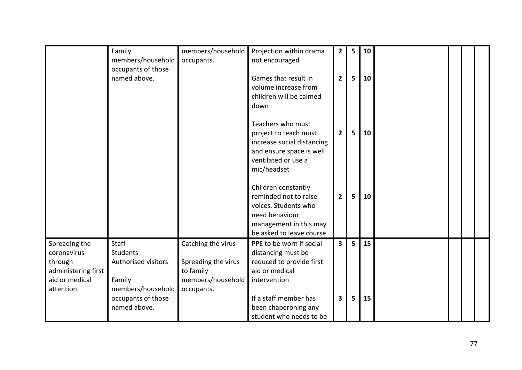|                                                                                               | Family<br>members/household                                                    | members/household<br>occupants.                                                           | Projection within drama<br>not encouraged                                                                                                     | $\overline{2}$          | 5 | 10 |  |  |
|-----------------------------------------------------------------------------------------------|--------------------------------------------------------------------------------|-------------------------------------------------------------------------------------------|-----------------------------------------------------------------------------------------------------------------------------------------------|-------------------------|---|----|--|--|
|                                                                                               | occupants of those<br>named above.                                             |                                                                                           | Games that result in<br>volume increase from<br>children will be calmed<br>down                                                               | $\overline{2}$          | 5 | 10 |  |  |
|                                                                                               |                                                                                |                                                                                           | Teachers who must<br>project to teach must<br>increase social distancing<br>and ensure space is well<br>ventilated or use a<br>mic/headset    | $\overline{2}$          | 5 | 10 |  |  |
|                                                                                               |                                                                                |                                                                                           | Children constantly<br>reminded not to raise<br>voices. Students who<br>need behaviour<br>management in this may<br>be asked to leave course. | $\overline{2}$          | 5 | 10 |  |  |
| Spreading the<br>coronavirus<br>through<br>administering first<br>aid or medical<br>attention | Staff<br><b>Students</b><br>Authorised visitors<br>Family<br>members/household | Catching the virus<br>Spreading the virus<br>to family<br>members/household<br>occupants. | PPE to be worn if social<br>distancing must be<br>reduced to provide first<br>aid or medical<br>intervention                                  | $\overline{\mathbf{3}}$ | 5 | 15 |  |  |
|                                                                                               | occupants of those<br>named above.                                             |                                                                                           | If a staff member has<br>been chaperoning any<br>student who needs to be                                                                      | $\overline{\mathbf{3}}$ | 5 | 15 |  |  |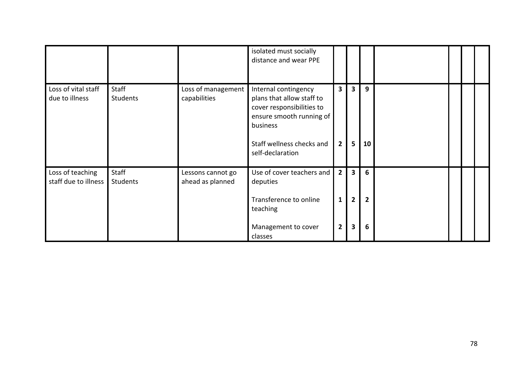|                                          |                                 |                                       | isolated must socially<br>distance and wear PPE                                                                                                                         |                                                  |                                                |                          |  |  |
|------------------------------------------|---------------------------------|---------------------------------------|-------------------------------------------------------------------------------------------------------------------------------------------------------------------------|--------------------------------------------------|------------------------------------------------|--------------------------|--|--|
| Loss of vital staff<br>due to illness    | <b>Staff</b><br><b>Students</b> | Loss of management<br>capabilities    | Internal contingency<br>plans that allow staff to<br>cover responsibilities to<br>ensure smooth running of<br>business<br>Staff wellness checks and<br>self-declaration | 3<br>$\overline{2}$                              | 3<br>5                                         | 9<br>10                  |  |  |
| Loss of teaching<br>staff due to illness | Staff<br>Students               | Lessons cannot go<br>ahead as planned | Use of cover teachers and<br>deputies<br>Transference to online<br>teaching<br>Management to cover<br>classes                                                           | $\overline{2}$<br>$\mathbf{1}$<br>$\overline{2}$ | $\overline{\mathbf{3}}$<br>$\overline{2}$<br>3 | 6<br>$\overline{2}$<br>6 |  |  |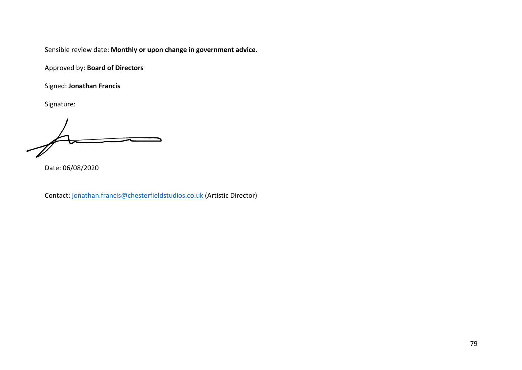Approved by: **Board of Directors**

Signed: **Jonathan Francis**

Signature:

Date: 06/08/2020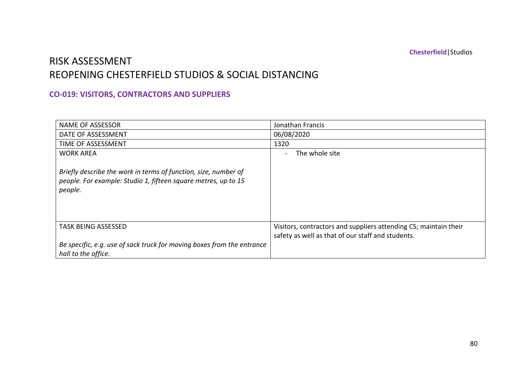**Chesterfield**|Studios

# RISK ASSESSMENT REOPENING CHESTERFIELD STUDIOS & SOCIAL DISTANCING

### **CO-019: VISITORS, CONTRACTORS AND SUPPLIERS**

| <b>NAME OF ASSESSOR</b>                                                                                                                      | Jonathan Francis                                                                                                      |
|----------------------------------------------------------------------------------------------------------------------------------------------|-----------------------------------------------------------------------------------------------------------------------|
| DATE OF ASSESSMENT                                                                                                                           | 06/08/2020                                                                                                            |
| TIME OF ASSESSMENT                                                                                                                           | 1320                                                                                                                  |
| <b>WORK AREA</b>                                                                                                                             | The whole site                                                                                                        |
| Briefly describe the work in terms of function, size, number of<br>people. For example: Studio 1, fifteen square metres, up to 15<br>people. |                                                                                                                       |
| <b>TASK BEING ASSESSED</b>                                                                                                                   | Visitors, contractors and suppliers attending CS; maintain their<br>safety as well as that of our staff and students. |
| Be specific, e.g. use of sack truck for moving boxes from the entrance<br>hall to the office.                                                |                                                                                                                       |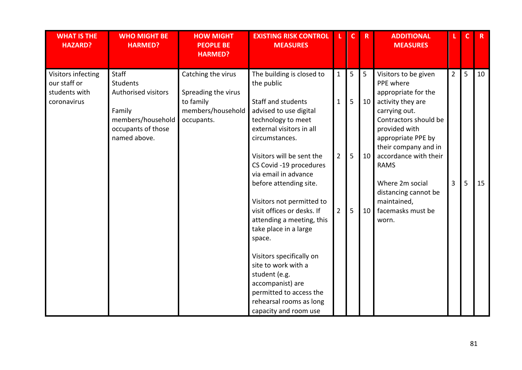| <b>WHAT IS THE</b><br><b>HAZARD?</b>                               | <b>WHO MIGHT BE</b><br><b>HARMED?</b>                                                                                       | <b>HOW MIGHT</b><br><b>PEOPLE BE</b><br><b>HARMED?</b>                                    | <b>EXISTING RISK CONTROL</b><br><b>MEASURES</b>                                                                                                                                                                                                                                                                                                                                                                                                                                                                                                                                |                                                                  | $\mathbf c$      | $\mathbf R$         | <b>ADDITIONAL</b><br><b>MEASURES</b>                                                                                                                                                                                                                                                                                   | L.                               | $\mathbf C$ | $\mathbf R$ |
|--------------------------------------------------------------------|-----------------------------------------------------------------------------------------------------------------------------|-------------------------------------------------------------------------------------------|--------------------------------------------------------------------------------------------------------------------------------------------------------------------------------------------------------------------------------------------------------------------------------------------------------------------------------------------------------------------------------------------------------------------------------------------------------------------------------------------------------------------------------------------------------------------------------|------------------------------------------------------------------|------------------|---------------------|------------------------------------------------------------------------------------------------------------------------------------------------------------------------------------------------------------------------------------------------------------------------------------------------------------------------|----------------------------------|-------------|-------------|
| Visitors infecting<br>our staff or<br>students with<br>coronavirus | <b>Staff</b><br><b>Students</b><br>Authorised visitors<br>Family<br>members/household<br>occupants of those<br>named above. | Catching the virus<br>Spreading the virus<br>to family<br>members/household<br>occupants. | The building is closed to<br>the public<br><b>Staff and students</b><br>advised to use digital<br>technology to meet<br>external visitors in all<br>circumstances.<br>Visitors will be sent the<br>CS Covid -19 procedures<br>via email in advance<br>before attending site.<br>Visitors not permitted to<br>visit offices or desks. If<br>attending a meeting, this<br>take place in a large<br>space.<br>Visitors specifically on<br>site to work with a<br>student (e.g.<br>accompanist) are<br>permitted to access the<br>rehearsal rooms as long<br>capacity and room use | $\mathbf{1}$<br>$\mathbf{1}$<br>$\overline{2}$<br>$\overline{2}$ | 5<br>5<br>5<br>5 | 5<br>10<br>10<br>10 | Visitors to be given<br>PPE where<br>appropriate for the<br>activity they are<br>carrying out.<br>Contractors should be<br>provided with<br>appropriate PPE by<br>their company and in<br>accordance with their<br><b>RAMS</b><br>Where 2m social<br>distancing cannot be<br>maintained,<br>facemasks must be<br>worn. | $\overline{2}$<br>$\overline{3}$ | 5<br>5      | 10<br>15    |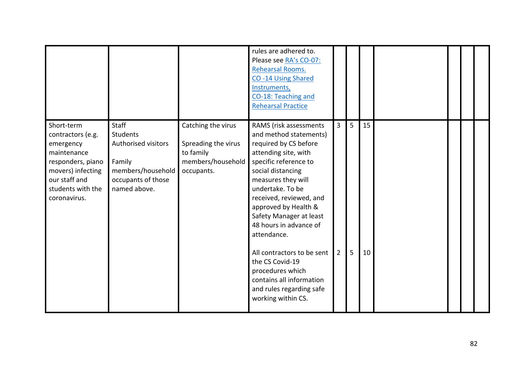|                                                                                                                                                             |                                                                                                                             |                                                                                           | rules are adhered to.<br>Please see RA's CO-07:<br>Rehearsal Rooms.<br>CO-14 Using Shared<br>Instruments,<br>CO-18: Teaching and<br><b>Rehearsal Practice</b>                                                                                                                                                                                                                                                                                                       |                                  |        |          |  |  |
|-------------------------------------------------------------------------------------------------------------------------------------------------------------|-----------------------------------------------------------------------------------------------------------------------------|-------------------------------------------------------------------------------------------|---------------------------------------------------------------------------------------------------------------------------------------------------------------------------------------------------------------------------------------------------------------------------------------------------------------------------------------------------------------------------------------------------------------------------------------------------------------------|----------------------------------|--------|----------|--|--|
| Short-term<br>contractors (e.g.<br>emergency<br>maintenance<br>responders, piano<br>movers) infecting<br>our staff and<br>students with the<br>coronavirus. | <b>Staff</b><br><b>Students</b><br>Authorised visitors<br>Family<br>members/household<br>occupants of those<br>named above. | Catching the virus<br>Spreading the virus<br>to family<br>members/household<br>occupants. | RAMS (risk assessments<br>and method statements)<br>required by CS before<br>attending site, with<br>specific reference to<br>social distancing<br>measures they will<br>undertake. To be<br>received, reviewed, and<br>approved by Health &<br>Safety Manager at least<br>48 hours in advance of<br>attendance.<br>All contractors to be sent<br>the CS Covid-19<br>procedures which<br>contains all information<br>and rules regarding safe<br>working within CS. | $\overline{3}$<br>$\overline{2}$ | 5<br>5 | 15<br>10 |  |  |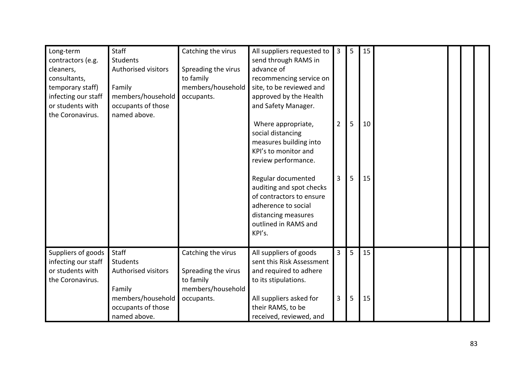| Long-term<br>contractors (e.g.<br>cleaners,<br>consultants,<br>temporary staff)<br>infecting our staff<br>or students with<br>the Coronavirus. | <b>Staff</b><br>Students<br><b>Authorised visitors</b><br>Family<br>members/household<br>occupants of those<br>named above. | Catching the virus<br>Spreading the virus<br>to family<br>members/household<br>occupants. | All suppliers requested to<br>send through RAMS in<br>advance of<br>recommencing service on<br>site, to be reviewed and<br>approved by the Health<br>and Safety Manager. | $\overline{3}$                   | 5      | 15       |  |  |
|------------------------------------------------------------------------------------------------------------------------------------------------|-----------------------------------------------------------------------------------------------------------------------------|-------------------------------------------------------------------------------------------|--------------------------------------------------------------------------------------------------------------------------------------------------------------------------|----------------------------------|--------|----------|--|--|
|                                                                                                                                                |                                                                                                                             |                                                                                           | Where appropriate,<br>social distancing<br>measures building into<br>KPI's to monitor and<br>review performance.                                                         | $\overline{2}$                   | 5      | 10       |  |  |
|                                                                                                                                                |                                                                                                                             |                                                                                           | Regular documented<br>auditing and spot checks<br>of contractors to ensure<br>adherence to social<br>distancing measures<br>outlined in RAMS and<br>KPI's.               | $\overline{3}$                   | 5      | 15       |  |  |
| Suppliers of goods<br>infecting our staff<br>or students with<br>the Coronavirus.                                                              | <b>Staff</b><br>Students<br><b>Authorised visitors</b><br>Family<br>members/household                                       | Catching the virus<br>Spreading the virus<br>to family<br>members/household<br>occupants. | All suppliers of goods<br>sent this Risk Assessment<br>and required to adhere<br>to its stipulations.<br>All suppliers asked for                                         | $\overline{3}$<br>$\overline{3}$ | 5<br>5 | 15<br>15 |  |  |
|                                                                                                                                                | occupants of those<br>named above.                                                                                          |                                                                                           | their RAMS, to be<br>received, reviewed, and                                                                                                                             |                                  |        |          |  |  |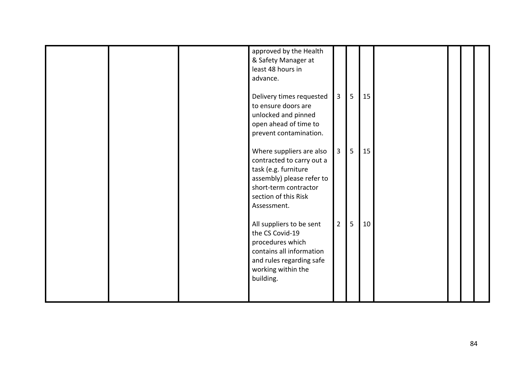|  | approved by the Health<br>& Safety Manager at<br>least 48 hours in<br>advance.                                                                                             |                |   |    |  |  |
|--|----------------------------------------------------------------------------------------------------------------------------------------------------------------------------|----------------|---|----|--|--|
|  | Delivery times requested<br>to ensure doors are<br>unlocked and pinned<br>open ahead of time to<br>prevent contamination.                                                  | $\overline{3}$ | 5 | 15 |  |  |
|  | Where suppliers are also<br>contracted to carry out a<br>task (e.g. furniture<br>assembly) please refer to<br>short-term contractor<br>section of this Risk<br>Assessment. | $\overline{3}$ | 5 | 15 |  |  |
|  | All suppliers to be sent<br>the CS Covid-19<br>procedures which<br>contains all information<br>and rules regarding safe<br>working within the<br>building.                 | $\overline{2}$ | 5 | 10 |  |  |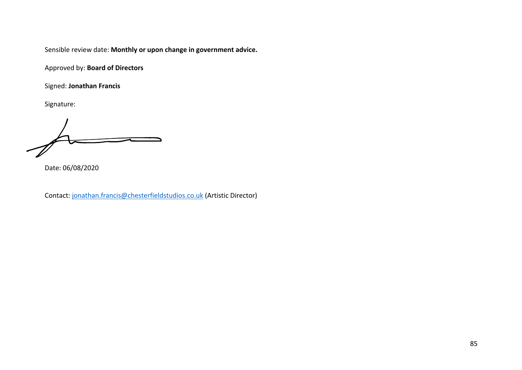Approved by: **Board of Directors**

Signed: **Jonathan Francis**

Signature:

Date: 06/08/2020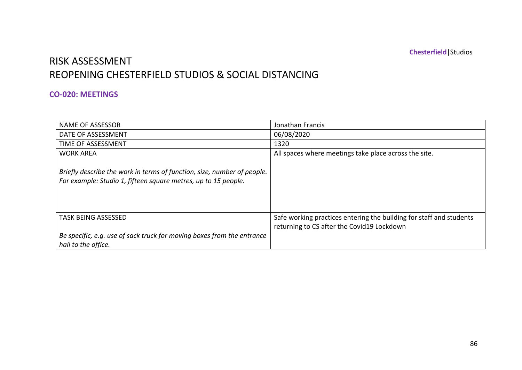**Chesterfield**|Studios

# RISK ASSESSMENT REOPENING CHESTERFIELD STUDIOS & SOCIAL DISTANCING

### **CO-020: MEETINGS**

| NAME OF ASSESSOR                                                                                                                          | Jonathan Francis                                                                                                  |
|-------------------------------------------------------------------------------------------------------------------------------------------|-------------------------------------------------------------------------------------------------------------------|
| DATE OF ASSESSMENT                                                                                                                        | 06/08/2020                                                                                                        |
| TIME OF ASSESSMENT                                                                                                                        | 1320                                                                                                              |
| <b>WORK AREA</b>                                                                                                                          | All spaces where meetings take place across the site.                                                             |
| Briefly describe the work in terms of function, size, number of people.<br>For example: Studio 1, fifteen square metres, up to 15 people. |                                                                                                                   |
| <b>TASK BEING ASSESSED</b>                                                                                                                | Safe working practices entering the building for staff and students<br>returning to CS after the Covid19 Lockdown |
| Be specific, e.g. use of sack truck for moving boxes from the entrance<br>hall to the office.                                             |                                                                                                                   |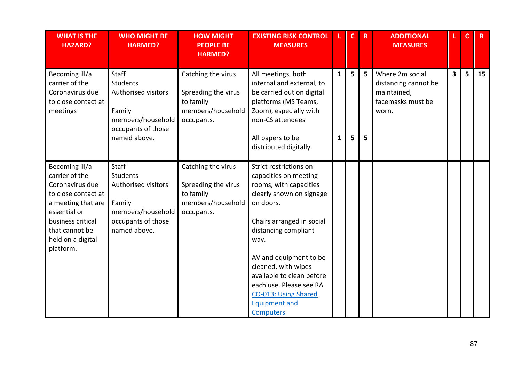| <b>WHAT IS THE</b><br><b>HAZARD?</b>                                                                                                                                                      | <b>WHO MIGHT BE</b><br><b>HARMED?</b>                                                                                       | <b>HOW MIGHT</b><br><b>PEOPLE BE</b><br><b>HARMED?</b>                                    | <b>EXISTING RISK CONTROL</b><br><b>MEASURES</b>                                                                                                                                                                                                                                                                                                                     |                   | $\mathbf{C}$ | $\mathbf R$ | <b>ADDITIONAL</b><br><b>MEASURES</b>                                                 | L.                      | $\mathbf c$ | $\overline{R}$ |
|-------------------------------------------------------------------------------------------------------------------------------------------------------------------------------------------|-----------------------------------------------------------------------------------------------------------------------------|-------------------------------------------------------------------------------------------|---------------------------------------------------------------------------------------------------------------------------------------------------------------------------------------------------------------------------------------------------------------------------------------------------------------------------------------------------------------------|-------------------|--------------|-------------|--------------------------------------------------------------------------------------|-------------------------|-------------|----------------|
| Becoming ill/a<br>carrier of the<br>Coronavirus due<br>to close contact at<br>meetings                                                                                                    | Staff<br><b>Students</b><br>Authorised visitors<br>Family<br>members/household<br>occupants of those<br>named above.        | Catching the virus<br>Spreading the virus<br>to family<br>members/household<br>occupants. | All meetings, both<br>internal and external, to<br>be carried out on digital<br>platforms (MS Teams,<br>Zoom), especially with<br>non-CS attendees<br>All papers to be<br>distributed digitally.                                                                                                                                                                    | $\mathbf{1}$<br>1 | 5            | 5<br>5      | Where 2m social<br>distancing cannot be<br>maintained,<br>facemasks must be<br>worn. | $\overline{\mathbf{3}}$ | 5           | 15             |
| Becoming ill/a<br>carrier of the<br>Coronavirus due<br>to close contact at<br>a meeting that are<br>essential or<br>business critical<br>that cannot be<br>held on a digital<br>platform. | <b>Staff</b><br><b>Students</b><br>Authorised visitors<br>Family<br>members/household<br>occupants of those<br>named above. | Catching the virus<br>Spreading the virus<br>to family<br>members/household<br>occupants. | Strict restrictions on<br>capacities on meeting<br>rooms, with capacities<br>clearly shown on signage<br>on doors.<br>Chairs arranged in social<br>distancing compliant<br>way.<br>AV and equipment to be<br>cleaned, with wipes<br>available to clean before<br>each use. Please see RA<br><b>CO-013: Using Shared</b><br><b>Equipment and</b><br><b>Computers</b> |                   |              |             |                                                                                      |                         |             |                |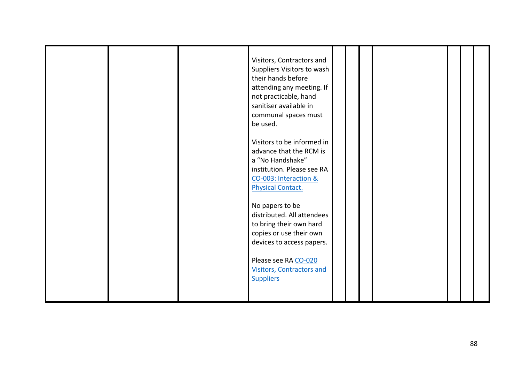|--|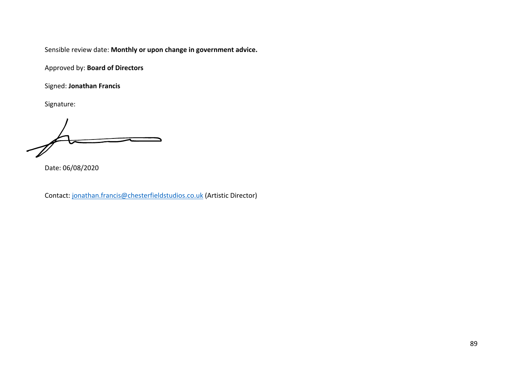Approved by: **Board of Directors**

Signed: **Jonathan Francis**

Signature:

Date: 06/08/2020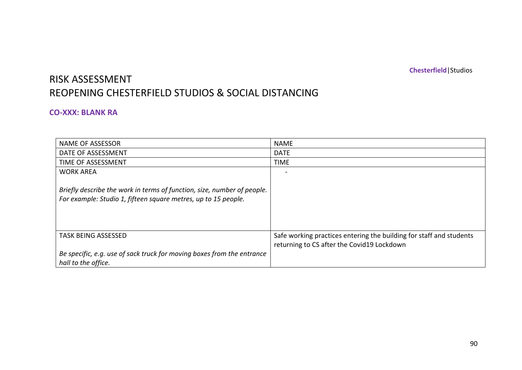**Chesterfield**|Studios

# RISK ASSESSMENT REOPENING CHESTERFIELD STUDIOS & SOCIAL DISTANCING

#### **CO-XXX: BLANK RA**

| <b>NAME OF ASSESSOR</b>                                                                                                                   | <b>NAME</b>                                                                                                       |
|-------------------------------------------------------------------------------------------------------------------------------------------|-------------------------------------------------------------------------------------------------------------------|
| DATE OF ASSESSMENT                                                                                                                        | <b>DATE</b>                                                                                                       |
| TIME OF ASSESSMENT                                                                                                                        | <b>TIME</b>                                                                                                       |
| <b>WORK AREA</b>                                                                                                                          |                                                                                                                   |
| Briefly describe the work in terms of function, size, number of people.<br>For example: Studio 1, fifteen square metres, up to 15 people. |                                                                                                                   |
| <b>TASK BEING ASSESSED</b>                                                                                                                | Safe working practices entering the building for staff and students<br>returning to CS after the Covid19 Lockdown |
| Be specific, e.g. use of sack truck for moving boxes from the entrance<br>hall to the office.                                             |                                                                                                                   |